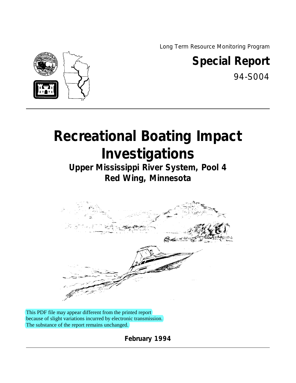Long Term Resource Monitoring Program



## **Special Report**

94-S004

# **Recreational Boating Impact Investigations**

**Upper Mississippi River System, Pool 4 Red Wing, Minnesota**



This PDF file may appear different from the printed report because of slight variations incurred by electronic transmission. The substance of the report remains unchanged.

**February 1994**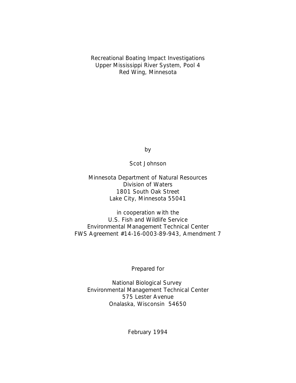Recreational Boating Impact Investigations Upper Mississippi River System, Pool 4 Red Wing, Minnesota

by

Scot Johnson

Minnesota Department of Natural Resources Division of Waters 1801 South Oak Street Lake City, Minnesota 55041

in cooperation with the U.S. Fish and Wildlife Service Environmental Management Technical Center FWS Agreement #14-16-0003-89-943, Amendment 7

Prepared for

National Biological Survey Environmental Management Technical Center 575 Lester Avenue Onalaska, Wisconsin 54650

February 1994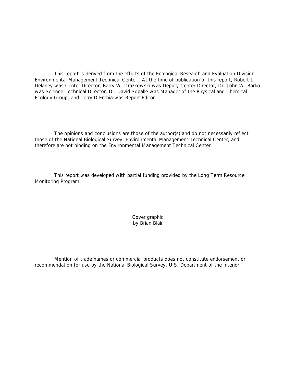This report is derived from the efforts of the Ecological Research and Evaluation Division, Environmental Management Technical Center. At the time of publication of this report, Robert L. Delaney was Center Director, Barry W. Drazkowski was Deputy Center Director, Dr. John W. Barko was Science Technical Director, Dr. David Soballe was Manager of the Physical and Chemical Ecology Group, and Terry D'Erchia was Report Editor.

The opinions and conclusions are those of the author(s) and do not necessarily reflect those of the National Biological Survey, Environmental Management Technical Center, and therefore are not binding on the Environmental Management Technical Center.

This report was developed with partial funding provided by the Long Term Resource Monitoring Program.

> Cover graphic by Brian Blair

Mention of trade names or commercial products does not constitute endorsement or recommendation for use by the National Biological Survey, U.S. Department of the Interior.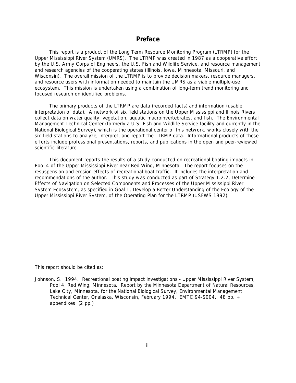#### **Preface**

This report is a product of the Long Term Resource Monitoring Program (LTRMP) for the Upper Mississippi River System (UMRS). The LTRMP was created in 1987 as a cooperative effort by the U.S. Army Corps of Engineers, the U.S. Fish and Wildlife Service, and resource management and research agencies of the cooperating states (Illinois, Iowa, Minnesota, Missouri, and Wisconsin). The overall mission of the LTRMP is to provide decision makers, resource managers, and resource users with information needed to maintain the UMRS as a viable multiple-use ecosystem. This mission is undertaken using a combination of long-term trend monitoring and focused research on identified problems.

The primary products of the LTRMP are data (recorded facts) and information (usable interpretation of data). A network of six field stations on the Upper Mississippi and Illinois Rivers collect data on water quality, vegetation, aquatic macroinvertebrates, and fish. The Environmental Management Technical Center (formerly a U.S. Fish and Wildlife Service facility and currently in the National Biological Survey), which is the operational center of this network, works closely with the six field stations to analyze, interpret, and report the LTRMP data. Informational products of these efforts include professional presentations, reports, and publications in the open and peer-reviewed scientific literature.

This document reports the results of a study conducted on recreational boating impacts in Pool 4 of the Upper Mississippi River near Red Wing, Minnesota. The report focuses on the resuspension and erosion effects of recreational boat traffic. It includes the interpretation and recommendations of the author. This study was conducted as part of Strategy 1.2.2, *Determine Effects of Navigation on Selected Components and Processes of the Upper Mississippi River System Ecosystem*, as specified in Goal 1, *Develop a Better Understanding of the Ecology of the Upper Mississippi River System,* of the Operating Plan for the LTRMP (USFWS 1992).

This report should be cited as:

Johnson, S. 1994. Recreational boating impact investigations - Upper Mississippi River System, Pool 4, Red Wing, Minnesota. Report by the Minnesota Department of Natural Resources, Lake City, Minnesota, for the National Biological Survey, Environmental Management Technical Center, Onalaska, Wisconsin, February 1994. EMTC 94-S004. 48 pp. + appendixes (2 pp.)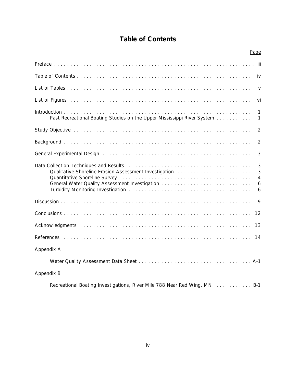### **Table of Contents**

|                                                                                                                                                                           | Page                               |
|---------------------------------------------------------------------------------------------------------------------------------------------------------------------------|------------------------------------|
|                                                                                                                                                                           |                                    |
|                                                                                                                                                                           |                                    |
|                                                                                                                                                                           | $\vee$                             |
|                                                                                                                                                                           | vi                                 |
| Past Recreational Boating Studies on the Upper Mississippi River System                                                                                                   | $\mathbf{1}$<br>$\mathbf{1}$       |
|                                                                                                                                                                           | $\overline{2}$                     |
|                                                                                                                                                                           | $\overline{2}$                     |
|                                                                                                                                                                           | 3                                  |
| Data Collection Techniques and Results (Alternational Alternational Alternational Alternational Alternational A<br>Qualitative Shoreline Erosion Assessment Investigation | 3<br>3<br>$\overline{4}$<br>6<br>6 |
|                                                                                                                                                                           | 9                                  |
|                                                                                                                                                                           | 12                                 |
|                                                                                                                                                                           | 13                                 |
|                                                                                                                                                                           | 14                                 |
| Appendix A                                                                                                                                                                |                                    |
|                                                                                                                                                                           |                                    |
| Appendix B                                                                                                                                                                |                                    |
| Recreational Boating Investigations, River Mile 788 Near Red Wing, MN B-1                                                                                                 |                                    |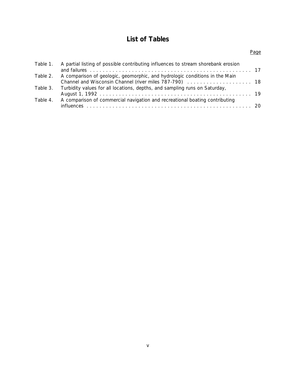### **List of Tables**

| ×<br>I |  |
|--------|--|

| Table 1. | A partial listing of possible contributing influences to stream shorebank erosion |  |
|----------|-----------------------------------------------------------------------------------|--|
|          |                                                                                   |  |
| Table 2. | A comparison of geologic, geomorphic, and hydrologic conditions in the Main       |  |
|          |                                                                                   |  |
| Table 3. | Turbidity values for all locations, depths, and sampling runs on Saturday,        |  |
|          |                                                                                   |  |
| Table 4. | A comparison of commercial navigation and recreational boating contributing       |  |
|          |                                                                                   |  |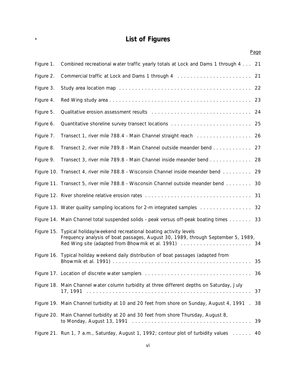### \* **List of Figures**

|           |                                                                                                                                                             | Page |
|-----------|-------------------------------------------------------------------------------------------------------------------------------------------------------------|------|
| Figure 1. | Combined recreational water traffic yearly totals at Lock and Dams 1 through 4 21                                                                           |      |
| Figure 2. |                                                                                                                                                             |      |
| Figure 3. |                                                                                                                                                             |      |
| Figure 4. |                                                                                                                                                             |      |
| Figure 5. | Qualitative erosion assessment results (all contained all contained all contained and the 24                                                                |      |
| Figure 6. |                                                                                                                                                             |      |
| Figure 7. | Transect 1, river mile 788.4 - Main Channel straight reach 26                                                                                               |      |
| Figure 8. | Transect 2, river mile 789.8 - Main Channel outside meander bend 27                                                                                         |      |
| Figure 9. | Transect 3, river mile 789.8 - Main Channel inside meander bend 28                                                                                          |      |
|           | Figure 10. Transect 4, river mile 788.8 - Wisconsin Channel inside meander bend 29                                                                          |      |
|           | Figure 11. Transect 5, river mile 788.8 - Wisconsin Channel outside meander bend                                                                            | 30   |
|           |                                                                                                                                                             |      |
|           | Figure 13. Water quality sampling locations for 2-m integrated samples                                                                                      | 32   |
|           | Figure 14. Main Channel total suspended solids - peak versus off-peak boating times 33                                                                      |      |
|           | Figure 15. Typical holiday/weekend recreational boating activity levels<br>Frequency analysis of boat passages, August 30, 1989, through September 5, 1989, |      |
|           | Figure 16. Typical holiday weekend daily distribution of boat passages (adapted from                                                                        |      |
|           |                                                                                                                                                             |      |
|           | Figure 18. Main Channel water column turbidity at three different depths on Saturday, July                                                                  | 37   |
|           | Figure 19. Main Channel turbidity at 10 and 20 feet from shore on Sunday, August 4, 1991.                                                                   | 38   |
|           | Figure 20. Main Channel turbidity at 20 and 30 feet from shore Thursday, August 8,                                                                          | 39   |
|           | Figure 21. Run 1, 7 a.m., Saturday, August 1, 1992; contour plot of turbidity values 40                                                                     |      |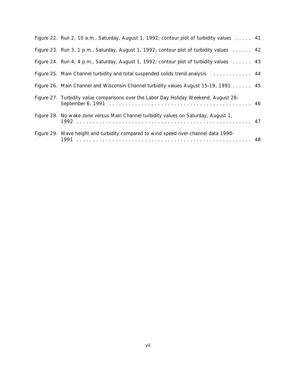| Figure 22. Run 2, 10 a.m., Saturday, August 1, 1992; contour plot of turbidity values 41 |  |
|------------------------------------------------------------------------------------------|--|
| Figure 23. Run 3, 1 p.m., Saturday, August 1, 1992; contour plot of turbidity values 42  |  |
| Figure 24. Run 4, 4 p.m., Saturday, August 1, 1992; contour plot of turbidity values 43  |  |
| Figure 25. Main Channel turbidity and total suspended solids trend analysis 44           |  |
| Figure 26. Main Channel and Wisconsin Channel turbidity values August 15-19, 1991 45     |  |
| Figure 27. Turbidity value comparisons over the Labor Day Holiday Weekend, August 28-    |  |
| Figure 28. No-wake zone versus Main Channel turbidity values on Saturday, August 1,      |  |
| Figure 29. Wave height and turbidity compared to wind speed river channel data 1990-     |  |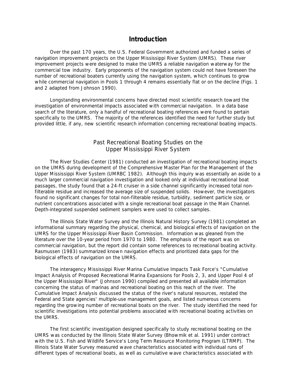#### **Introduction**

Over the past 170 years, the U.S. Federal Government authorized and funded a series of navigation improvement projects on the Upper Mississippi River System (UMRS). These river improvement projects were designed to make the UMRS a reliable navigation waterway for the commercial tow industry. Early proponents of the navigation system could not have foreseen the number of recreational boaters currently using the navigation system, which continues to grow while commercial navigation in Pools 1 through 4 remains essentially flat or on the decline (Figs. 1 and 2 adapted from Johnson 1990).

Longstanding environmental concerns have directed most scientific research toward the investigation of environmental impacts associated with commercial navigation. In a data base search of the literature, only a handful of recreational boating references were found to pertain specifically to the UMRS. The majority of the references identified the need for further study but provided little, if any, new scientific research information concerning recreational boating impacts.

#### *Past Recreational Boating Studies on the Upper Mississippi River System*

The River Studies Center (1981) conducted an investigation of recreational boating impacts on the UMRS during development of the Comprehensive Master Plan for the Management of the Upper Mississippi River System (UMRBC 1982). Although this inquiry was essentially an aside to a much larger commercial navigation investigation and looked only at individual recreational boat passages, the study found that a 24-ft cruiser in a side channel significantly increased total nonfilterable residue and increased the average size of suspended solids. However, the investigators found no significant changes for total non-filterable residue, turbidity, sediment particle size, or nutrient concentrations associated with a single recreational boat passage in the Main Channel. Depth-integrated suspended sediment samplers were used to collect samples.

The Illinois State Water Survey and the Illinois Natural History Survey (1981) completed an informational summary regarding the physical, chemical, and biological effects of navigation on the UMRS for the Upper Mississippi River Basin Commission. Information was gleaned from the literature over the 10-year period from 1970 to 1980. The emphasis of the report was on commercial navigation, but the report did contain some references to recreational boating activity. Rasmussen (1983) summarized known navigation effects and prioritized data gaps for the biological effects of navigation on the UMRS.

The interagency Mississippi River Marina Cumulative Impacts Task Force's "Cumulative Impact Analysis of Proposed Recreational Marina Expansions for Pools 2, 3, and Upper Pool 4 of the Upper Mississippi River" (Johnson 1990) compiled and presented all available information concerning the status of marinas and recreational boating on this reach of the river. The Cumulative Impact Analysis discussed the status of the river's natural resources, restated the Federal and State agencies' multiple-use management goals, and listed numerous concerns regarding the growing number of recreational boats on the river. The study identified the need for scientific investigations into potential problems associated with recreational boating activities on the UMRS.

The first scientific investigation designed specifically to study recreational boating on the UMRS was conducted by the Illinois State Water Survey (Bhowmik et al. 1991) under contract with the U.S. Fish and Wildlife Service's Long Term Resource Monitoring Program (LTRMP). The Illinois State Water Survey measured wave characteristics associated with individual runs of different types of recreational boats, as well as cumulative wave characteristics associated with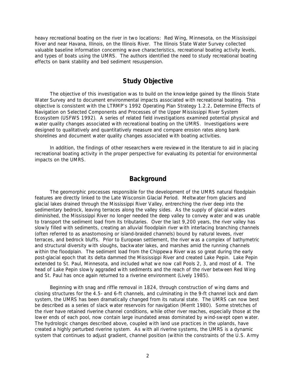heavy recreational boating on the river in two locations: Red Wing, Minnesota, on the Mississippi River and near Havana, Illinois, on the Illinois River. The Illinois State Water Survey collected valuable baseline information concerning wave characteristics, recreational boating activity levels, and types of boats using the UMRS. The authors identified the need to study recreational boating effects on bank stability and bed sediment resuspension.

#### **Study Objective**

The objective of this investigation was to build on the knowledge gained by the Illinois State Water Survey and to document environmental impacts associated with recreational boating. This objective is consistent with the LTRMP's 1992 Operating Plan Strategy 1.2.2, *Determine Effects of Navigation on Selected Components and Processes of the Upper Mississippi River System Ecosystem* (USFWS 1992). A series of related field investigations examined potential physical and water quality changes associated with recreational boating on the UMRS. Investigations were designed to qualitatively and quantitatively measure and compare erosion rates along bank shorelines and document water quality changes associated with boating activities.

In addition, the findings of other researchers were reviewed in the literature to aid in placing recreational boating activity in the proper perspective for evaluating its potential for environmental impacts on the UMRS.

#### **Background**

The geomorphic processes responsible for the development of the UMRS natural floodplain features are directly linked to the Late Wisconsin Glacial Period. Meltwater from glaciers and glacial lakes drained through the Mississippi River Valley, entrenching the river deep into the sedimentary bedrock, leaving terraces along the valley sides. As the supply of glacial waters diminished, the Mississippi River no longer needed the deep valley to convey water and was unable to transport the sediment load from its tributaries. Over the last 9,200 years, the river valley has slowly filled with sediments, creating an alluvial floodplain river with interlacing branching channels (often referred to as anastomosing or island-braided channels) bound by natural levees, river terraces, and bedrock bluffs. Prior to European settlement, the river was a complex of bathymetric and structural diversity with sloughs, backwater lakes, and marshes amid the running channels within the floodplain. The sediment load from the Chippewa River was so great during the early post-glacial epoch that its delta dammed the Mississippi River and created Lake Pepin. Lake Pepin extended to St. Paul, Minnesota, and included what we now call Pools 2, 3, and most of 4. The head of Lake Pepin slowly aggraded with sediments and the reach of the river between Red Wing and St. Paul has once again returned to a riverine environment (Lively 1985).

Beginning with snag and riffle removal in 1824, through construction of wing dams and closing structures for the 4.5- and 6-ft channels, and culminating in the 9-ft channel lock and dam system, the UMRS has been dramatically changed from its natural state. The UMRS can now best be described as a series of slack water reservoirs for navigation (Merrit 1980). Some stretches of the river have retained riverine channel conditions, while other river reaches, especially those at the lower ends of each pool, now contain large inundated areas dominated by wind-swept open water. The hydrologic changes described above, coupled with land use practices in the uplands, have created a highly perturbed riverine system. As with all riverine systems, the UMRS is a dynamic system that continues to adjust gradient, channel position (within the constraints of the U.S. Army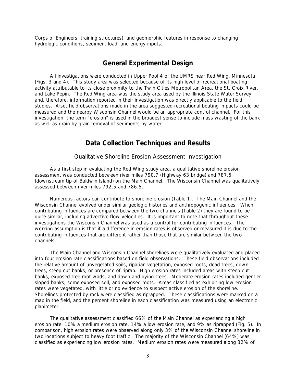Corps of Engineers' training structures), and geomorphic features in response to changing hydrologic conditions, sediment load, and energy inputs.

#### **General Experimental Design**

All investigations were conducted in Upper Pool 4 of the UMRS near Red Wing, Minnesota (Figs. 3 and 4). This study area was selected because of its high level of recreational boating activity attributable to its close proximity to the Twin Cities Metropolitan Area, the St. Croix River, and Lake Pepin. The Red Wing area was the study area used by the Illinois State Water Survey and, therefore, information reported in their investigation was directly applicable to the field studies. Also, field observations made in the area suggested recreational boating impacts could be measured and the nearby Wisconsin Channel would be an appropriate control channel. For this investigation, the term "erosion" is used in the broadest sense to include mass wasting of the bank as well as grain-by-grain removal of sediments by water.

#### **Data Collection Techniques and Results**

#### *Qualitative Shoreline Erosion Assessment Investigation*

As a first step in evaluating the Red Wing study area, a qualitative shoreline erosion assessment was conducted between river miles 790.7 (Highway 63 bridge) and 787.5 (downstream tip of Baldwin Island) on the Main Channel. The Wisconsin Channel was qualitatively assessed between river miles 792.5 and 786.5.

Numerous factors can contribute to shoreline erosion (Table 1). The Main Channel and the Wisconsin Channel evolved under similar geologic histories and anthropogenic influences. When contributing influences are compared between the two channels (Table 2) they are found to be quite similar, including advective flow velocities. It is important to note that throughout these investigations the Wisconsin Channel was used as a control for contributing influences. The working assumption is that if a difference in erosion rates is observed or measured it is due to the contributing influences that are different rather than those that are similar between the two channels.

The Main Channel and Wisconsin Channel shorelines were qualitatively evaluated and placed into four erosion rate classifications based on field observations. These field observations included the relative amount of unvegetated soils, riparian vegetation, exposed roots, dead trees, down trees, steep cut banks, or presence of riprap. High erosion rates included areas with steep cut banks, exposed tree root wads, and down and dying trees. Moderate erosion rates included gentler sloped banks, some exposed soil, and exposed roots. Areas classified as exhibiting low erosion rates were vegetated, with little or no evidence to suspect active erosion of the shoreline. Shorelines protected by rock were classified as riprapped. These classifications were marked on a map in the field, and the percent shoreline in each classification was measured using an electronic planimeter.

The qualitative assessment classified 66% of the Main Channel as experiencing a high erosion rate, 10% a medium erosion rate, 14% a low erosion rate, and 9% as riprapped (Fig. 5). In comparison, high erosion rates were observed along only 3% of the Wisconsin Channel shoreline in two locations subject to heavy foot traffic. The majority of the Wisconsin Channel (64%) was classified as experiencing low erosion rates. Medium erosion rates were measured along 32% of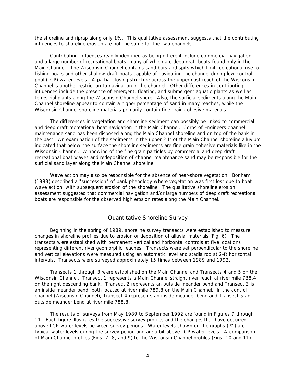the shoreline and riprap along only 1%. This qualitative assessment suggests that the contributing influences to shoreline erosion are not the same for the two channels.

Contributing influences readily identified as being different include commercial navigation and a large number of recreational boats, many of which are deep draft boats found only in the Main Channel. The Wisconsin Channel contains sand bars and spits which limit recreational use to fishing boats and other shallow draft boats capable of navigating the channel during low control pool (LCP) water levels. A partial closing structure across the uppermost reach of the Wisconsin Channel is another restriction to navigation in the channel. Other differences in contributing influences include the presence of emergent, floating, and submergent aquatic plants as well as terrestrial plants along the Wisconsin Channel shore. Also, the surficial sediments along the Main Channel shoreline appear to contain a higher percentage of sand in many reaches, while the Wisconsin Channel shoreline materials primarily contain fine-grain cohesive materials.

The differences in vegetation and shoreline sediment can possibly be linked to commercial and deep draft recreational boat navigation in the Main Channel. Corps of Engineers channel maintenance sand has been disposed along the Main Channel shoreline and on top of the bank in the past. An examination of the sediments in the upper 2 ft of the Main Channel shoreline alluvium indicated that below the surface the shoreline sediments are fine-grain cohesive materials like in the Wisconsin Channel. Winnowing of the fine-grain particles by commercial and deep draft recreational boat waves and redeposition of channel maintenance sand may be responsible for the surficial sand layer along the Main Channel shoreline.

Wave action may also be responsible for the absence of near-shore vegetation. Bonham (1983) described a "succession" of bank phenology where vegetation was first lost due to boat wave action, with subsequent erosion of the shoreline. The qualitative shoreline erosion assessment suggested that commercial navigation and/or large numbers of deep draft recreational boats are responsible for the observed high erosion rates along the Main Channel.

#### *Quantitative Shoreline Survey*

Beginning in the spring of 1989, shoreline survey transects were established to measure changes in shoreline profiles due to erosion or deposition of alluvial materials (Fig. 6). The transects were established with permanent vertical and horizontal controls at five locations representing different river geomorphic reaches. Transects were set perpendicular to the shoreline and vertical elevations were measured using an automatic level and stadia rod at 2-ft horizontal intervals. Transects were surveyed approximately 15 times between 1989 and 1992.

Transects 1 through 3 were established on the Main Channel and Transects 4 and 5 on the Wisconsin Channel. Transect 1 represents a Main Channel straight river reach at river mile 788.4 on the right descending bank. Transect 2 represents an outside meander bend and Transect 3 is an inside meander bend, both located at river mile 789.8 on the Main Channel. In the control channel (Wisconsin Channel), Transect 4 represents an inside meander bend and Transect 5 an outside meander bend at river mile 788.8.

The results of surveys from May 1989 to September 1992 are found in Figures 7 through 11. Each figure illustrates the successive survey profiles and the changes that have occurred above LCP water levels between survey periods. Water levels shown on the graphs  $(\nabla)$  are typical water levels during the survey period and are a bit above LCP water levels. A comparison of Main Channel profiles (Figs. 7, 8, and 9) to the Wisconsin Channel profiles (Figs. 10 and 11)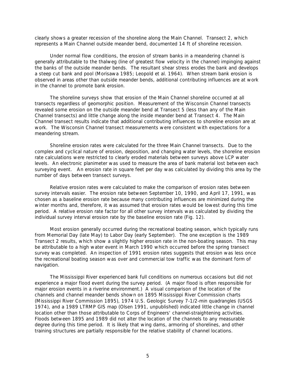clearly shows a greater recession of the shoreline along the Main Channel. Transect 2, which represents a Main Channel outside meander bend, documented 14 ft of shoreline recession.

Under normal flow conditions, the erosion of stream banks in a meandering channel is generally attributable to the thalweg (line of greatest flow velocity in the channel) impinging against the banks of the outside meander bends. The resultant shear stress erodes the bank and develops a steep cut bank and pool (Morisawa 1985; Leopold et al. 1964). When stream bank erosion is observed in areas other than outside meander bends, additional contributing influences are at work in the channel to promote bank erosion.

The shoreline surveys show that erosion of the Main Channel shoreline occurred at all transects regardless of geomorphic position. Measurement of the Wisconsin Channel transects revealed some erosion on the outside meander bend at Transect 5 (less than any of the Main Channel transects) and little change along the inside meander bend at Transect 4. The Main Channel transect results indicate that additional contributing influences to shoreline erosion are at work. The Wisconsin Channel transect measurements were consistent with expectations for a meandering stream.

Shoreline erosion rates were calculated for the three Main Channel transects. Due to the complex and cyclical nature of erosion, deposition, and changing water levels, the shoreline erosion rate calculations were restricted to clearly eroded materials between surveys above LCP water levels. An electronic planimeter was used to measure the area of bank material lost between each surveying event. An erosion rate in square feet per day was calculated by dividing this area by the number of days between transect surveys.

Relative erosion rates were calculated to make the comparison of erosion rates between survey intervals easier. The erosion rate between September 10, 1990, and April 17, 1991, was chosen as a baseline erosion rate because many contributing influences are minimized during the winter months and, therefore, it was assumed that erosion rates would be lowest during this time period. A relative erosion rate factor for all other survey intervals was calculated by dividing the individual survey interval erosion rate by the baseline erosion rate (Fig. 12).

Most erosion generally occurred during the recreational boating season, which typically runs from Memorial Day (late May) to Labor Day (early September). The one exception is the 1989 Transect 2 results, which show a slightly higher erosion rate in the non-boating season. This may be attributable to a high water event in March 1990 which occurred before the spring transect survey was completed. An inspection of 1991 erosion rates suggests that erosion was less once the recreational boating season was over and commercial tow traffic was the dominant form of navigation.

The Mississippi River experienced bank full conditions on numerous occasions but did not experience a major flood event during the survey period. (A major flood is often responsible for major erosion events in a riverine environment.) A visual comparison of the location of the channels and channel meander bends shown on 1895 Mississippi River Commission charts (Mississippi River Commission 1895), 1974 U.S. Geologic Survey 7-1/2-min quadrangles (USGS 1974), and a 1989 LTRMP GIS map (Olsen 1991, unpublished) indicated little change in channel location other than those attributable to Corps of Engineers' channel-straightening activities. Floods between 1895 and 1989 did not alter the location of the channels to any measurable degree during this time period. It is likely that wing dams, armoring of shorelines, and other training structures are partially responsible for the relative stability of channel locations.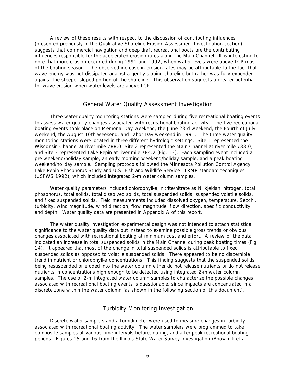A review of these results with respect to the discussion of contributing influences (presented previously in the *Qualitative Shoreline Erosion Assessment Investigation* section) suggests that commercial navigation and deep draft recreational boats are the contributing influences responsible for the accelerated erosion rates along the Main Channel. It is interesting to note that more erosion occurred during 1991 and 1992, when water levels were above LCP most of the boating season. The observed increase in erosion rates may be attributable to the fact that wave energy was not dissipated against a gently sloping shoreline but rather was fully expended against the steeper sloped portion of the shoreline. This observation suggests a greater potential for wave erosion when water levels are above LCP.

#### *General Water Quality Assessment Investigation*

Three water quality monitoring stations were sampled during five recreational boating events to assess water quality changes associated with recreational boating activity. The five recreational boating events took place on Memorial Day weekend, the June 23rd weekend, the Fourth of July weekend, the August 10th weekend, and Labor Day weekend in 1991. The three water quality monitoring stations were located in three different hydrologic settings: Site 1 represented the Wisconsin Channel at river mile 788.0, Site 2 represented the Main Channel at river mile 788.0, and Site 3 represented Lake Pepin at river mile 784.2 (Fig. 13). Each sampling event included a pre-weekend/holiday sample, an early morning weekend/holiday sample, and a peak boating weekend/holiday sample. Sampling protocols followed the Minnesota Pollution Control Agency Lake Pepin Phosphorus Study and U.S. Fish and Wildlife Service LTRMP standard techniques (USFWS 1992), which included integrated 2-m water column samples.

Water quality parameters included chlorophyll-*a*, nitrite/nitrate as N, kjeldahl nitrogen, total phosphorus, total solids, total dissolved solids, total suspended solids, suspended volatile solids, and fixed suspended solids. Field measurements included dissolved oxygen, temperature, Secchi, turbidity, wind magnitude, wind direction, flow magnitude, flow direction, specific conductivity, and depth. Water quality data are presented in Appendix A of this report.

The water quality investigation experimental design was not intended to attach statistical significance to the water quality data but instead to examine possible gross trends or obvious changes associated with recreational boating at minimum cost and effort. A review of the data indicated an increase in total suspended solids in the Main Channel during peak boating times (Fig. 14). It appeared that most of the change in total suspended solids is attributable to fixed suspended solids as opposed to volatile suspended solids. There appeared to be no discernible trend in nutrient or chlorophyll-*a* concentrations. This finding suggests that the suspended solids being resuspended or eroded into the water column either do not release nutrients or do not release nutrients in concentrations high enough to be detected using integrated 2-m water column samples. The use of 2-m integrated water column samples to characterize the possible changes associated with recreational boating events is questionable, since impacts are concentrated in a discrete zone within the water column (as shown in the following section of this document).

#### *Turbidity Monitoring Investigation*

Discrete water samplers and a turbidimeter were used to measure changes in turbidity associated with recreational boating activity. The water samplers were programmed to take composite samples at various time intervals before, during, and after peak recreational boating periods. Figures 15 and 16 from the Illinois State Water Survey Investigation (Bhowmik et al.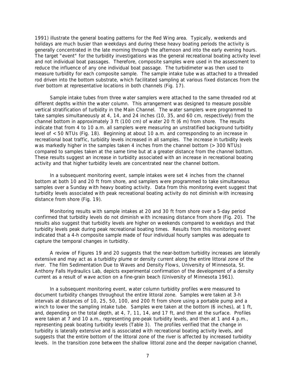1991) illustrate the general boating patterns for the Red Wing area. Typically, weekends and holidays are much busier than weekdays and during these heavy boating periods the activity is generally concentrated in the late morning through the afternoon and into the early evening hours. The target "event" for the turbidity investigations was the general recreational boating activity level and not individual boat passages. Therefore, composite samples were used in the assessment to reduce the influence of any one individual boat passage. The turbidimeter was then used to measure turbidity for each composite sample. The sample intake tube was attached to a threaded rod driven into the bottom substrate, which facilitated sampling at various fixed distances from the river bottom at representative locations in both channels (Fig. 17).

Sample intake tubes from three water samplers were attached to the same threaded rod at different depths within the water column. This arrangement was designed to measure possible vertical stratification of turbidity in the Main Channel. The water samplers were programmed to take samples simultaneously at 4, 14, and 24 inches (10, 35, and 60 cm, respectively) from the channel bottom in approximately 3 ft (100 cm) of water 20 ft (6 m) from shore. The results indicate that from 4 to 10 a.m. all samplers were measuring an unstratified background turbidity level of <50 NTUs (Fig. 18). Beginning at about 10 a.m. and corresponding to an increase in recreational boat traffic, turbidity levels increased in all samples. The increase in turbidity levels was markedly higher in the samples taken 4 inches from the channel bottom (> 300 NTUs) compared to samples taken at the same time but at a greater distance from the channel bottom. These results suggest an increase in turbidity associated with an increase in recreational boating activity and that higher turbidity levels are concentrated near the channel bottom.

In a subsequent monitoring event, sample intakes were set 4 inches from the channel bottom at both 10 and 20 ft from shore, and samplers were programmed to take simultaneous samples over a Sunday with heavy boating activity. Data from this monitoring event suggest that turbidity levels associated with peak recreational boating activity do not diminish with increasing distance from shore (Fig. 19).

Monitoring results with sample intakes at 20 and 30 ft from shore over a 5-day period confirmed that turbidity levels do not diminish with increasing distance from shore (Fig. 20). The results also suggest that turbidity levels are higher on weekends compared to weekdays and that turbidity levels peak during peak recreational boating times. Results from this monitoring event indicated that a 4-h composite sample made of four individual hourly samples was adequate to capture the temporal changes in turbidity.

A review of Figures 19 and 20 suggests that the near-bottom turbidity increases are laterally extensive and may act as a turbidity plume or density current along the entire littoral zone of the river. The film *Sedimentation Due to Waves and Density Flows*, University of Minnesota, St. Anthony Falls Hydraulics Lab, depicts experimental confirmation of the development of a density current as a result of wave action on a fine-grain beach (University of Minnesota 1961).

In a subsequent monitoring event, water column turbidity profiles were measured to document turbidity changes throughout the entire littoral zone. Samples were taken at 3-h intervals at distances of 10, 25, 50, 100, and 200 ft from shore using a portable pump and a winch to lower the sampling intake tube. Samples were taken at the bottom (6 inches), at 1 ft, and, depending on the total depth, at 4, 7, 11, 14, and 17 ft, and then at the surface. Profiles were taken at 7 and 10 a.m., representing pre-peak turbidity levels, and then at 1 and 4 p.m., representing peak boating turbidity levels (Table 3). The profiles verified that the change in turbidity is laterally extensive and is associated with recreational boating activity levels, and suggests that the entire bottom of the littoral zone of the river is affected by increased turbidity levels. In the transition zone between the shallow littoral zone and the deeper navigation channel,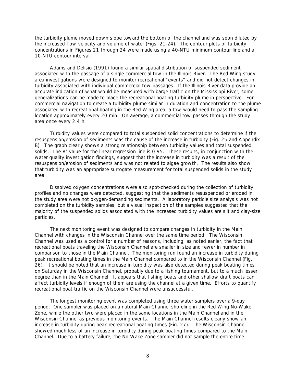the turbidity plume moved down slope toward the bottom of the channel and was soon diluted by the increased flow velocity and volume of water (Figs. 21-24). The contour plots of turbidity concentrations in Figures 21 through 24 were made using a 40-NTU minimum contour line and a 10-NTU contour interval.

Adams and Delisio (1991) found a similar spatial distribution of suspended sediment associated with the passage of a single commercial tow in the Illinois River. The Red Wing study area investigations were designed to monitor recreational "events" and did not detect changes in turbidity associated with individual commercial tow passages. If the Illinois River data provide an accurate indication of what would be measured with barge traffic on the Mississippi River, some generalizations can be made to place the recreational boating turbidity plume in perspective. For commercial navigation to create a turbidity plume similar in duration and concentration to the plume associated with recreational boating in the Red Wing area, a tow would need to pass the sampling location approximately every 20 min. On average, a commercial tow passes through the study area once every 2.4 h.

Turbidity values were compared to total suspended solid concentrations to determine if the resuspension/erosion of sediments was the cause of the increase in turbidity (Fig. 25 and Appendix B). The graph clearly shows a strong relationship between turbidity values and total suspended solids. The  $R^2$  value for the linear regression line is 0.95. These results, in conjunction with the water quality investigation findings, suggest that the increase in turbidity was a result of the resuspension/erosion of sediments and was not related to algae growth. The results also show that turbidity was an appropriate surrogate measurement for total suspended solids in the study area.

Dissolved oxygen concentrations were also spot-checked during the collection of turbidity profiles and no changes were detected, suggesting that the sediments resuspended or eroded in the study area were not oxygen-demanding sediments. A laboratory particle size analysis was not completed on the turbidity samples, but a visual inspection of the samples suggested that the majority of the suspended solids associated with the increased turbidity values are silt and clay-size particles.

The next monitoring event was designed to compare changes in turbidity in the Main Channel with changes in the Wisconsin Channel over the same time period. The Wisconsin Channel was used as a control for a number of reasons, including, as noted earlier, the fact that recreational boats traveling the Wisconsin Channel are smaller in size and fewer in number in comparison to those in the Main Channel. The monitoring run found an increase in turbidity during peak recreational boating times in the Main Channel compared to in the Wisconsin Channel (Fig. 26). It should be noted that an increase in turbidity was also detected during peak boating times on Saturday in the Wisconsin Channel, probably due to a fishing tournament, but to a much lesser degree than in the Main Channel. It appears that fishing boats and other shallow draft boats can affect turbidity levels if enough of them are using the channel at a given time. Efforts to quantify recreational boat traffic on the Wisconsin Channel were unsuccessful.

The longest monitoring event was completed using three water samplers over a 9-day period. One sampler was placed on a natural Main Channel shoreline in the Red Wing No-Wake Zone, while the other two were placed in the same locations in the Main Channel and in the Wisconsin Channel as previous monitoring events. The Main Channel results clearly show an increase in turbidity during peak recreational boating times (Fig. 27). The Wisconsin Channel showed much less of an increase in turbidity during peak boating times compared to the Main Channel. Due to a battery failure, the No-Wake Zone sampler did not sample the entire time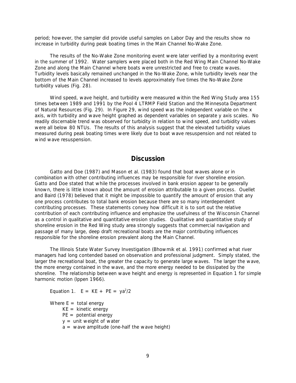period; however, the sampler did provide useful samples on Labor Day and the results show no increase in turbidity during peak boating times in the Main Channel No-Wake Zone.

The results of the No-Wake Zone monitoring event were later verified by a monitoring event in the summer of 1992. Water samplers were placed both in the Red Wing Main Channel No-Wake Zone and along the Main Channel where boats were unrestricted and free to create waves. Turbidity levels basically remained unchanged in the No-Wake Zone, while turbidity levels near the bottom of the Main Channel increased to levels approximately five times the No-Wake Zone turbidity values (Fig. 28).

Wind speed, wave height, and turbidity were measured within the Red Wing Study area 155 times between 1989 and 1991 by the Pool 4 LTRMP Field Station and the Minnesota Department of Natural Resources (Fig. 29). In Figure 29, wind speed was the independent variable on the x axis, with turbidity and wave height graphed as dependent variables on separate y axis scales. No readily discernable trend was observed for turbidity in relation to wind speed, and turbidity values were all below 80 NTUs. The results of this analysis suggest that the elevated turbidity values measured during peak boating times were likely due to boat wave resuspension and not related to wind wave resuspension.

#### **Discussion**

Gatto and Doe (1987) and Mason et al. (1983) found that boat waves alone or in combination with other contributing influences may be responsible for river shoreline erosion. Gatto and Doe stated that while the processes involved in bank erosion appear to be generally known, there is little known about the amount of erosion attributable to a given process. Ouellet and Baird (1978) believed that it might be impossible to quantify the amount of erosion that any one process contributes to total bank erosion because there are so many interdependent contributing processes. These statements convey how difficult it is to sort out the relative contribution of each contributing influence and emphasize the usefulness of the Wisconsin Channel as a control in qualitative and quantitative erosion studies. Qualitative and quantitative study of shoreline erosion in the Red Wing study area strongly suggests that commercial navigation and passage of many large, deep draft recreational boats are the major contributing influences responsible for the shoreline erosion prevalent along the Main Channel.

The Illinois State Water Survey Investigation (Bhowmik et al. 1991) confirmed what river managers had long contended based on observation and professional judgment. Simply stated, the larger the recreational boat, the greater the capacity to generate large waves. The larger the wave, the more energy contained in the wave, and the more energy needed to be dissipated by the shoreline. The relationship between wave height and energy is represented in Equation 1 for simple harmonic motion (Ippen 1966).

Equation 1.  $E = KE + PE = ya^2/2$ 

Where  $E =$  total energy

- $KE =$  kinetic energy
- $PE = potential energy$
- $y =$  unit weight of water
- $a =$  wave amplitude (one-half the wave height)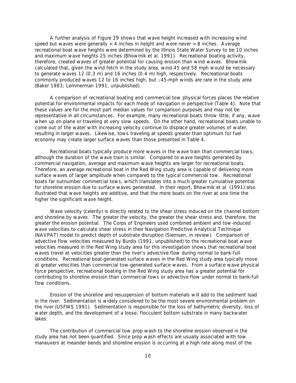A further analysis of Figure 29 shows that wave height increased with increasing wind speed but waves were generally  $<$  4 inches in height and were never  $>$  8 inches. Average recreational boat wave heights were determined by the Illinois State Water Survey to be 10 inches and maximum wave heights 25 inches (Bhowmik et al. 1991). Recreational boating activity, therefore, created waves of greater potential for causing erosion than wind waves. Bhowmik calculated that, given the wind fetch in the study area, wind 45 and 58 mph would be necessary to generate waves 12 (0.3 m) and 16 inches (0.4 m) high, respectively. Recreational boats commonly produced waves 12 to 16 inches high, but  $\geq$ 45-mph winds are rare in the study area (Baker 1983; Lemmerman 1991, unpublished).

A comparison of recreational boating and commercial tow physical forces places the relative potential for environmental impacts for each mode of navigation in perspective (Table 4). Note that these values are for the most part median values for comparison purposes and may not be representative in all circumstances. For example, many recreational boats throw little, if any, wave when up on plane or traveling at very slow speeds. On the other hand, recreational boats unable to come out of the water with increasing velocity continue to displace greater volumes of water, resulting in larger waves. Likewise, tows traveling at speeds greater than optimum for fuel economy may create larger surface waves than those presented in Table 4.

Recreational boats typically produce more waves in the wave train than commercial tows, although the duration of the wave train is similar. Compared to wave heights generated by commercial navigation, average and maximum wave heights are larger for recreational boats. Therefore, an average recreational boat in the Red Wing study area is capable of delivering more surface waves of larger amplitude when compared to the typical commercial tow. Recreational boats far outnumber commercial tows, which translates into a much greater cumulative potential for shoreline erosion due to surface waves generated. In their report, Bhowmik et al. (1991) also illustrated that wave heights are additive, and that the more boats on the river at one time the higher the significant wave height.

Wave velocity (celerity) is directly related to the shear stress induced on the channel bottom and shoreline by waves. The greater the velocity, the greater the shear stress and, therefore, the greater the erosion potential. The Corps of Engineers used combined ambient and tow-induced wave velocities to calculate shear stress in their Navigation Predictive Analytical Technique (NAVPAT) model to predict depth of substrate disruption (Siemsen, in review). Comparison of advective flow velocities measured by Burdis (1991, unpublished) to the recreational boat wave velocities measured in the Red Wing study area for this investigation shows that recreational boat waves travel at velocities greater than the river's advective flow during normal to bank-full conditions. Recreational boat-generated surface waves in the Red Wing study area typically move at greater velocities than commercial tow-generated surface waves. From a surface wave physical force perspective, recreational boating in the Red Wing study area has a greater potential for contributing to shoreline erosion than commercial tows or advective flow under normal to bank-full flow conditions.

Erosion of the shoreline and resuspension of bottom materials will add to the sediment load in the river. Sedimentation is widely considered to be the most severe environmental problem on the river (USFWS 1991). Sedimentation is responsible for the loss of bathymetric diversity, loss of water depth, and the development of a loose, flocculent bottom substrate in many backwater lakes.

The contribution of commercial tow prop wash to the shoreline erosion observed in the study area has not been quantified. Since prop wash effects are usually associated with tow maneuvers at meander bends and shoreline erosion is occurring at a high rate along most of the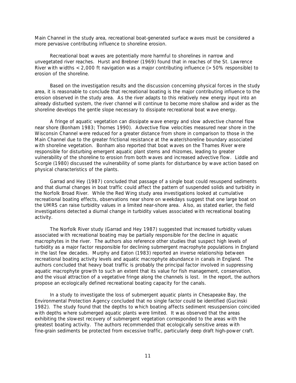Main Channel in the study area, recreational boat-generated surface waves must be considered a more pervasive contributing influence to shoreline erosion.

Recreational boat waves are potentially more harmful to shorelines in narrow and unvegetated river reaches. Hurst and Brebner (1969) found that in reaches of the St. Lawrence River with widths  $\lt$  2,000 ft navigation was a major contributing influence ( $\gt$  50% responsible) to erosion of the shoreline.

Based on the investigation results and the discussion concerning physical forces in the study area, it is reasonable to conclude that recreational boating is the major contributing influence to the erosion observed in the study area. As the river adapts to this relatively new energy input into an already disturbed system, the river channel will continue to become more shallow and wider as the shoreline develops the gentle slope necessary to dissipate recreational boat wave energy.

A fringe of aquatic vegetation can dissipate wave energy and slow advective channel flow near shore (Bonham 1983; Thornes 1990). Advective flow velocities measured near shore in the Wisconsin Channel were reduced for a greater distance from shore in comparison to those in the Main Channel due to the greater frictional resistance at the water/shoreline boundary associated with shoreline vegetation. Bonham also reported that boat waves on the Thames River were responsible for disturbing emergent aquatic plant stems and rhizomes, leading to greater vulnerability of the shoreline to erosion from both waves and increased advective flow. Liddle and Scorgie (1980) discussed the vulnerability of some plants for disturbance by wave action based on physical characteristics of the plants.

Garrad and Hey (1987) concluded that passage of a single boat could resuspend sediments and that diurnal changes in boat traffic could affect the pattern of suspended solids and turbidity in the Norfolk Broad River. While the Red Wing study area investigations looked at cumulative recreational boating effects, observations near shore on weekdays suggest that one large boat on the UMRS can raise turbidity values in a limited near-shore area. Also, as stated earlier, the field investigations detected a diurnal change in turbidity values associated with recreational boating activity.

The Norfolk River study (Garrad and Hey 1987) suggested that increased turbidity values associated with recreational boating may be partially responsible for the decline in aquatic macrophytes in the river. The authors also reference other studies that suspect high levels of turbidity as a major factor responsible for declining submergent macrophyte populations in England in the last few decades. Murphy and Eaton (1983) reported an inverse relationship between recreational boating activity levels and aquatic macrophyte abundance in canals in England. The authors concluded that heavy boat traffic is probably the principal factor involved in suppressing aquatic macrophyte growth to such an extent that its value for fish management, conservation, and the visual attraction of a vegetative fringe along the channels is lost. In the report, the authors propose an ecologically defined recreational boating capacity for the canals.

In a study to investigate the loss of submergent aquatic plants in Chesapeake Bay, the Environmental Protection Agency concluded that no single factor could be identified (Gucinski 1982). The study found that the depths to which boating affects sediment resuspension coincided with depths where submerged aquatic plants were limited. It was observed that the areas exhibiting the slowest recovery of submergent vegetation corresponded to the areas with the greatest boating activity. The authors recommended that ecologically sensitive areas with fine-grain sediments be protected from excessive traffic, particularly deep draft high-power craft.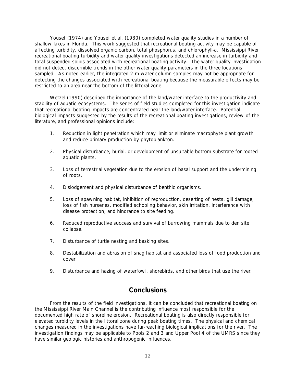Yousef (1974) and Yousef et al. (1980) completed water quality studies in a number of shallow lakes in Florida. This work suggested that recreational boating activity may be capable of affecting turbidity, dissolved organic carbon, total phosphorus, and chlorophyll-*a*. Mississippi River recreational boating turbidity and water quality investigations detected an increase in turbidity and total suspended solids associated with recreational boating activity. The water quality investigation did not detect discernible trends in the other water quality parameters in the three locations sampled. As noted earlier, the integrated 2-m water column samples may not be appropriate for detecting the changes associated with recreational boating because the measurable effects may be restricted to an area near the bottom of the littoral zone.

Wetzel (1990) described the importance of the land/water interface to the productivity and stability of aquatic ecosystems. The series of field studies completed for this investigation indicate that recreational boating impacts are concentrated near the land/water interface. Potential biological impacts suggested by the results of the recreational boating investigations, review of the literature, and professional opinions include:

- 1. Reduction in light penetration which may limit or eliminate macrophyte plant growth and reduce primary production by phytoplankton.
- 2. Physical disturbance, burial, or development of unsuitable bottom substrate for rooted aquatic plants.
- 3. Loss of terrestrial vegetation due to the erosion of basal support and the undermining of roots.
- 4. Dislodgement and physical disturbance of benthic organisms.
- 5. Loss of spawning habitat, inhibition of reproduction, deserting of nests, gill damage, loss of fish nurseries, modified schooling behavior, skin irritation, interference with disease protection, and hindrance to site feeding.
- 6. Reduced reproductive success and survival of burrowing mammals due to den site collapse.
- 7. Disturbance of turtle nesting and basking sites.
- 8. Destabilization and abrasion of snag habitat and associated loss of food production and cover.
- 9. Disturbance and hazing of waterfowl, shorebirds, and other birds that use the river.

#### **Conclusions**

From the results of the field investigations, it can be concluded that recreational boating on the Mississippi River Main Channel is the contributing influence most responsible for the documented high rate of shoreline erosion. Recreational boating is also directly responsible for elevated turbidity levels in the littoral zone during peak boating times. The physical and chemical changes measured in the investigations have far-reaching biological implications for the river. The investigation findings may be applicable to Pools 2 and 3 and Upper Pool 4 of the UMRS since they have similar geologic histories and anthropogenic influences.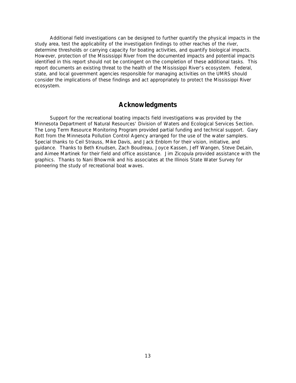Additional field investigations can be designed to further quantify the physical impacts in the study area, test the applicability of the investigation findings to other reaches of the river, determine thresholds or carrying capacity for boating activities, and quantify biological impacts. However, protection of the Mississippi River from the documented impacts and potential impacts identified in this report should not be contingent on the completion of these additional tasks. This report documents an existing threat to the health of the Mississippi River's ecosystem. Federal, state, and local government agencies responsible for managing activities on the UMRS should consider the implications of these findings and act appropriately to protect the Mississippi River ecosystem.

#### **Acknowledgments**

Support for the recreational boating impacts field investigations was provided by the Minnesota Department of Natural Resources' Division of Waters and Ecological Services Section. The Long Term Resource Monitoring Program provided partial funding and technical support. Gary Rott from the Minnesota Pollution Control Agency arranged for the use of the water samplers. Special thanks to Ceil Strauss, Mike Davis, and Jack Enblom for their vision, initiative, and guidance. Thanks to Beth Knudsen, Zach Boudreau, Joyce Kassen, Jeff Wangen, Steve DeLain, and Aimee Martinek for their field and office assistance. Jim Zicopula provided assistance with the graphics. Thanks to Nani Bhowmik and his associates at the Illinois State Water Survey for pioneering the study of recreational boat waves.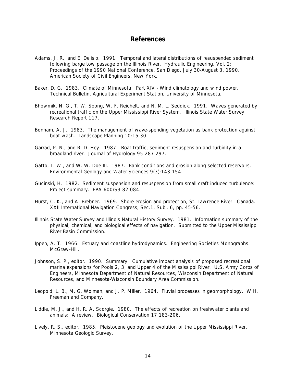#### **References**

- Adams, J. R., and E. Delisio. 1991. Temporal and lateral distributions of resuspended sediment following barge tow passage on the Illinois River. Hydraulic Engineering, Vol. 2: Proceedings of the 1990 National Conference, San Diego, July 30-August 3, 1990. American Society of Civil Engineers, New York.
- Baker, D. G. 1983. Climate of Minnesota: Part XIV Wind climatology and wind power. Technical Bulletin, Agricultural Experiment Station, University of Minnesota.
- Bhowmik, N. G., T. W. Soong, W. F. Reichelt, and N. M. L. Seddick. 1991. Waves generated by recreational traffic on the Upper Mississippi River System. Illinois State Water Survey Research Report 117.
- Bonham, A. J. 1983. The management of wave-spending vegetation as bank protection against boat wash. Landscape Planning 10:15-30.
- Garrad, P. N., and R. D. Hey. 1987. Boat traffic, sediment resuspension and turbidity in a broadland river. Journal of Hydrology 95:287-297.
- Gatto, L. W., and W. W. Doe III. 1987. Bank conditions and erosion along selected reservoirs. Environmental Geology and Water Sciences 9(3):143-154.
- Gucinski, H. 1982. Sediment suspension and resuspension from small craft induced turbulence: Project summary. EPA-600/S3-82-084.
- Hurst, C. K., and A. Brebner. 1969. Shore erosion and protection, St. Lawrence River Canada. XXII International Navigation Congress, Sec.1, Subj. 6, pp. 45-56.
- Illinois State Water Survey and Illinois Natural History Survey. 1981. Information summary of the physical, chemical, and biological effects of navigation. Submitted to the Upper Mississippi River Basin Commission.
- Ippen, A. T. 1966. Estuary and coastline hydrodynamics. Engineering Societies Monographs. McGraw-Hill.
- Johnson, S. P., editor. 1990. Summary: Cumulative impact analysis of proposed recreational marina expansions for Pools 2, 3, and Upper 4 of the Mississippi River. U.S. Army Corps of Engineers, Minnesota Department of Natural Resources, Wisconsin Department of Natural Resources, and Minnesota-Wisconsin Boundary Area Commission.
- Leopold, L. B., M. G. Wolman, and J. P. Miller. 1964. Fluvial processes in geomorphology. W.H. Freeman and Company.
- Liddle, M. J., and H. R. A. Scorgie. 1980. The effects of recreation on freshwater plants and animals: A review. Biological Conservation 17:183-206.
- Lively, R. S., editor. 1985. Pleistocene geology and evolution of the Upper Mississippi River. Minnesota Geologic Survey.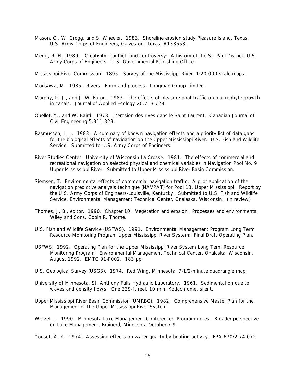- Mason, C., W. Grogg, and S. Wheeler. 1983. Shoreline erosion study Pleasure Island, Texas. U.S. Army Corps of Engineers, Galveston, Texas, A138653.
- Merrit, R. H. 1980. Creativity, conflict, and controversy: A history of the St. Paul District, U.S. Army Corps of Engineers. U.S. Governmental Publishing Office.

Mississippi River Commission. 1895. Survey of the Mississippi River, 1:20,000-scale maps.

Morisawa, M. 1985. Rivers: Form and process. Longman Group Limited.

- Murphy, K. J., and J. W. Eaton. 1983. The effects of pleasure boat traffic on macrophyte growth in canals. Journal of Applied Ecology 20:713-729.
- Ouellet, Y., and W. Baird. 1978. L'erosion des rives dans le Saint-Laurent. Canadian Journal of Civil Engineering 5:311-323.
- Rasmussen, J. L. 1983. A summary of known navigation effects and a priority list of data gaps for the biological effects of navigation on the Upper Mississippi River. U.S. Fish and Wildlife Service. Submitted to U.S. Army Corps of Engineers.
- River Studies Center University of Wisconsin La Crosse. 1981. The effects of commercial and recreational navigation on selected physical and chemical variables in Navigation Pool No. 9 Upper Mississippi River. Submitted to Upper Mississippi River Basin Commission.
- Siemsen, T. Environmental effects of commercial navigation traffic: A pilot application of the navigation predictive analysis technique (NAVPAT) for Pool 13, Upper Mississippi. Report by the U.S. Army Corps of Engineers-Louisville, Kentucky. Submitted to U.S. Fish and Wildlife Service, Environmental Management Technical Center, Onalaska, Wisconsin. (in review)
- Thornes, J. B., editor. 1990. Chapter 10. Vegetation and erosion: Processes and environments. Wiley and Sons, Cobin R. Thorne.
- U.S. Fish and Wildlife Service (USFWS). 1991. Environmental Management Program Long Term Resource Monitoring Program Upper Mississippi River System: Final Draft Operating Plan.
- USFWS. 1992. Operating Plan for the Upper Mississippi River System Long Term Resource Monitoring Program. Environmental Management Technical Center, Onalaska, Wisconsin, August 1992. EMTC 91-P002. 183 pp.
- U.S. Geological Survey (USGS). 1974. Red Wing, Minnesota, 7-1/2-minute quadrangle map.
- University of Minnesota, St. Anthony Falls Hydraulic Laboratory. 1961. Sedimentation due to waves and density flows. One 339-ft reel, 10 min, Kodachrome, silent.
- Upper Mississippi River Basin Commission (UMRBC). 1982. Comprehensive Master Plan for the Management of the Upper Mississippi River System.
- Wetzel, J. 1990. Minnesota Lake Management Conference: Program notes. Broader perspective on Lake Management, Brainerd, Minnesota October 7-9.
- Yousef, A. Y. 1974. Assessing effects on water quality by boating activity. EPA 670/2-74-072.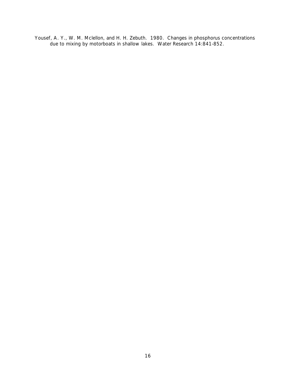Yousef, A. Y., W. M. Mclellon, and H. H. Zebuth. 1980. Changes in phosphorus concentrations due to mixing by motorboats in shallow lakes. Water Research 14:841-852.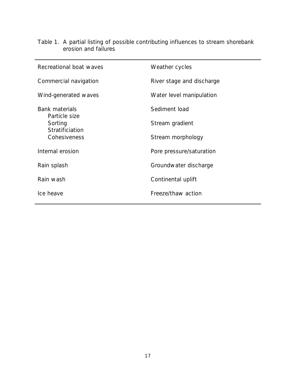| Recreational boat waves                | Weather cycles            |
|----------------------------------------|---------------------------|
| Commercial navigation                  | River stage and discharge |
| Wind-generated waves                   | Water level manipulation  |
| <b>Bank materials</b><br>Particle size | Sediment load             |
| Sorting<br>Stratificiation             | Stream gradient           |
| Cohesiveness                           | Stream morphology         |
| Internal erosion                       | Pore pressure/saturation  |
| Rain splash                            | Groundwater discharge     |
| Rain wash                              | Continental uplift        |
| Ice heave                              | Freeze/thaw action        |
|                                        |                           |

Table 1. A partial listing of possible contributing influences to stream shorebank erosion and failures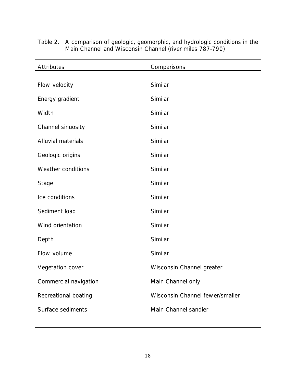| <b>Attributes</b>     | Comparisons                     |
|-----------------------|---------------------------------|
|                       | Similar                         |
| Flow velocity         |                                 |
| Energy gradient       | Similar                         |
| Width                 | Similar                         |
| Channel sinuosity     | Similar                         |
| Alluvial materials    | Similar                         |
| Geologic origins      | Similar                         |
| Weather conditions    | Similar                         |
| <b>Stage</b>          | Similar                         |
| Ice conditions        | Similar                         |
| Sediment load         | Similar                         |
| Wind orientation      | Similar                         |
| Depth                 | Similar                         |
| Flow volume           | Similar                         |
| Vegetation cover      | Wisconsin Channel greater       |
| Commercial navigation | Main Channel only               |
| Recreational boating  | Wisconsin Channel fewer/smaller |
| Surface sediments     | Main Channel sandier            |
|                       |                                 |

Table 2. A comparison of geologic, geomorphic, and hydrologic conditions in the Main Channel and Wisconsin Channel (river miles 787-790)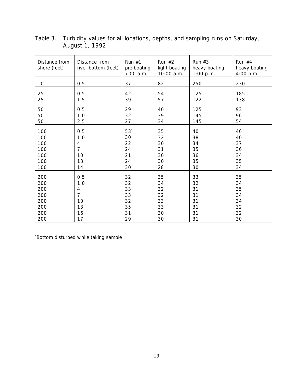| Distance from<br>shore (feet) | Distance from<br>river bottom (feet) | Run $#1$<br>pre-boating<br>7:00 a.m. | Run $#2$<br>light boating<br>10:00 a.m. | Run $#3$<br>heavy boating<br>1:00 p.m. | Run $#4$<br>heavy boating<br>4:00 p.m. |
|-------------------------------|--------------------------------------|--------------------------------------|-----------------------------------------|----------------------------------------|----------------------------------------|
| 10                            | 0.5                                  | 37                                   | 82                                      | 250                                    | 230                                    |
| 25                            | 0.5                                  | 42                                   | 54                                      | 125                                    | 185                                    |
| 25                            | 1.5                                  | 39                                   | 57                                      | 122                                    | 138                                    |
| 50                            | 0.5                                  | 29                                   | 40                                      | 125                                    | 93                                     |
| 50                            | 1.0                                  | 32                                   | 39                                      | 145                                    | 96                                     |
| 50                            | 2.5                                  | 27                                   | 34                                      | 145                                    | 54                                     |
| 100                           | 0.5                                  | $53*$                                | 35                                      | 40                                     | 46                                     |
| 100                           | 1.0                                  | 30                                   | 32                                      | 38                                     | 40                                     |
| 100                           | 4                                    | 22                                   | 30                                      | 34                                     | 37                                     |
| 100                           | $\overline{7}$                       | 24                                   | 31                                      | 35                                     | 36                                     |
| 100                           | 10                                   | 21                                   | 30                                      | 36                                     | 34                                     |
| 100                           | 13                                   | 24                                   | 30                                      | 35                                     | 35                                     |
| 100                           | 14                                   | 30                                   | 28                                      | 30                                     | 34                                     |
| 200                           | 0.5                                  | 32                                   | 35                                      | 33                                     | 35                                     |
| 200                           | 1.0                                  | 32                                   | 34                                      | 32                                     | 34                                     |
| 200                           | 4                                    | 33                                   | 32                                      | 31                                     | 35                                     |
| 200                           | $\overline{7}$                       | 33                                   | 32                                      | 31                                     | 34                                     |
| 200                           | 10                                   | 32                                   | 33                                      | 31                                     | 34                                     |
| 200                           | 13                                   | 35                                   | 33                                      | 31                                     | 32                                     |
| 200                           | 16                                   | 31                                   | 30                                      | 31                                     | 32                                     |
| 200                           | 17                                   | 29                                   | 30                                      | 31                                     | 30                                     |

Table 3. Turbidity values for all locations, depths, and sampling runs on Saturday, August 1, 1992

\* Bottom disturbed while taking sample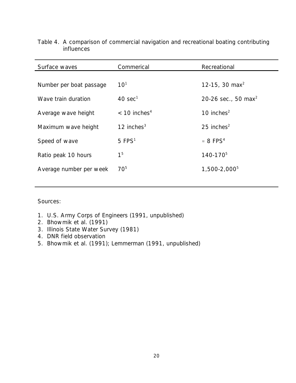| Surface waves           | Commerical                 | Recreational                    |
|-------------------------|----------------------------|---------------------------------|
|                         |                            |                                 |
| Number per boat passage | 10 <sup>1</sup>            | 12-15, 30 max <sup>2</sup>      |
| Wave train duration     | $40 \text{ sec}^1$         | 20-26 sec., 50 max <sup>2</sup> |
| Average wave height     | $<$ 10 inches <sup>4</sup> | 10 inches $2$                   |
| Maximum wave height     | 12 inches $3$              | 25 inches $2$                   |
| Speed of wave           | $5$ FPS <sup>1</sup>       | $\approx 8$ FPS <sup>4</sup>    |
| Ratio peak 10 hours     | 1 <sup>5</sup>             | 140-170 <sup>5</sup>            |
| Average number per week | 70 <sup>5</sup>            | 1,500-2,000 <sup>5</sup>        |
|                         |                            |                                 |

Table 4. A comparison of commercial navigation and recreational boating contributing influences

Sources:

- 1. U.S. Army Corps of Engineers (1991, unpublished)
- 2. Bhowmik et al. (1991)
- 3. Illinois State Water Survey (1981)
- 4. DNR field observation
- 5. Bhowmik et al. (1991); Lemmerman (1991, unpublished)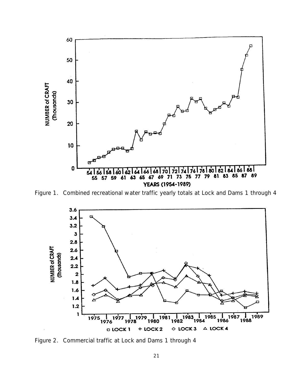

Figure 1. Combined recreational water traffic yearly totals at Lock and Dams 1 through 4



Figure 2. Commercial traffic at Lock and Dams 1 through 4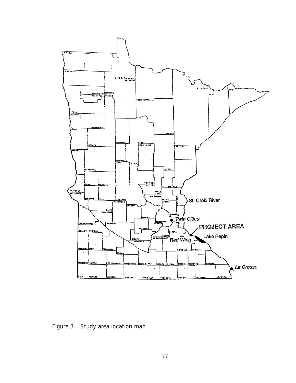

Figure 3. Study area location map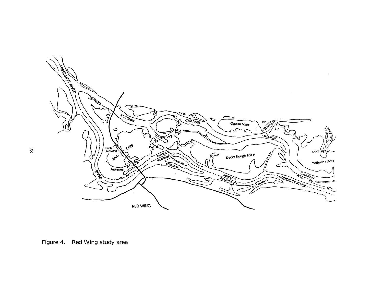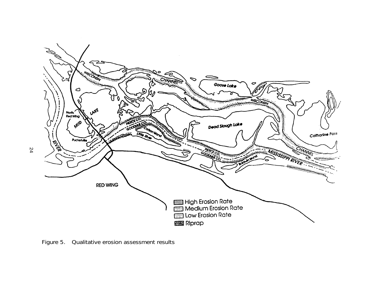

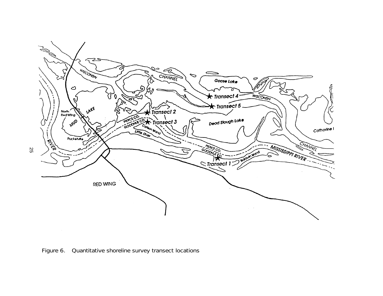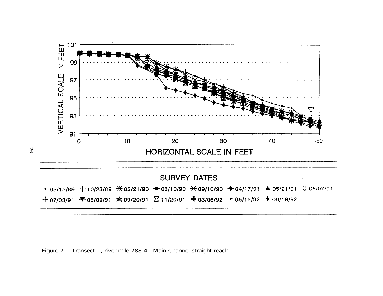

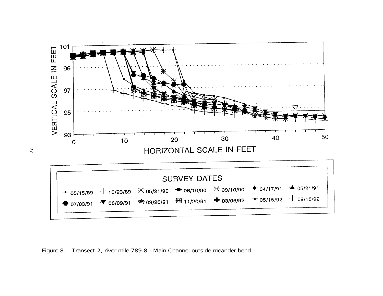

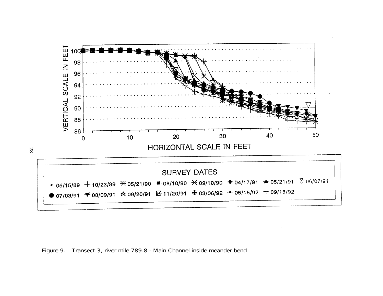

Figure 9. Transect 3, river mile 789.8 - Main Channel inside meander bend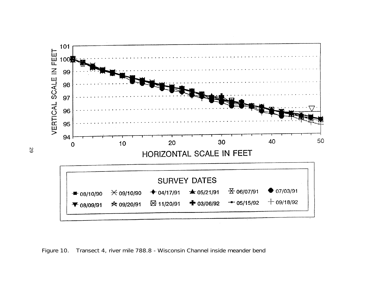

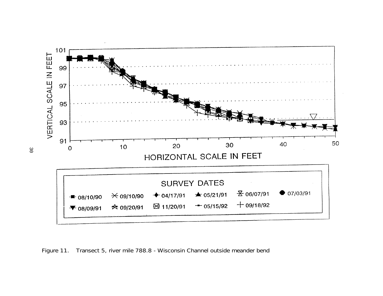

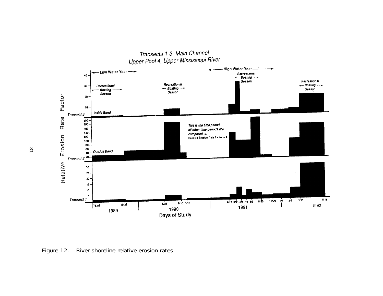

Figure 12. River shoreline relative erosion rates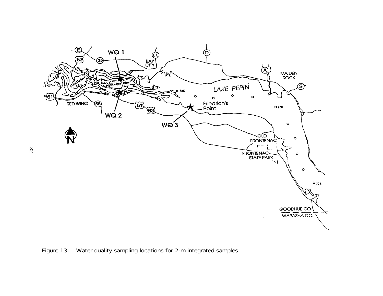

Figure 13. Water quality sampling locations for 2-m integrated samples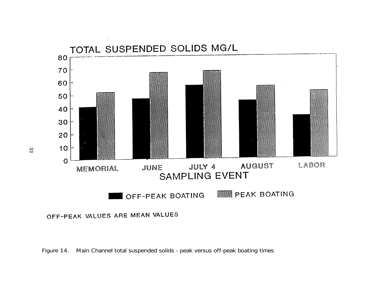

### OFF-PEAK VALUES ARE MEAN VALUES

Figure 14. Main Channel total suspended solids - peak versus off-peak boating times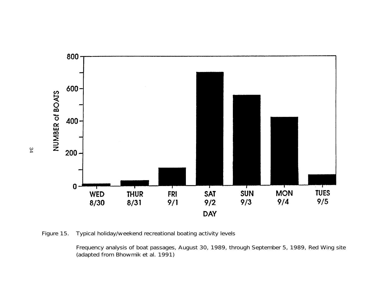

Figure 15. Typical holiday/weekend recreational boating activity levels

Frequency analysis of boat passages, August 30, 1989, through September 5, 1989, Red Wing site (adapted from Bhowmik et al. 1991)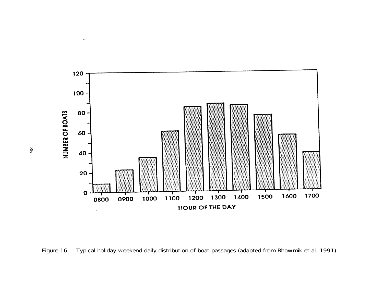

Figure 16. Typical holiday weekend daily distribution of boat passages (adapted from Bhowmik et al. 1991)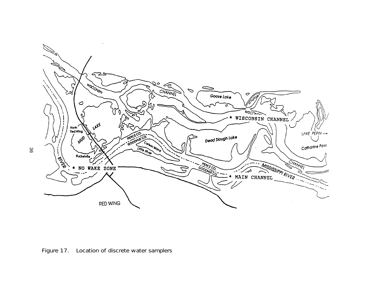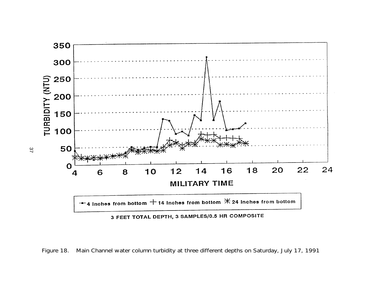

Figure 18. Main Channel water column turbidity at three different depths on Saturday, July 17, 1991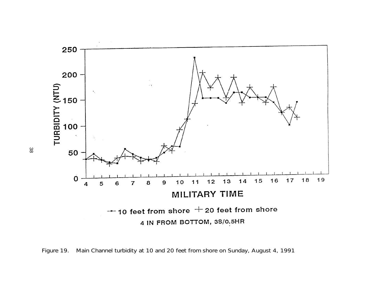

Figure 19. Main Channel turbidity at 10 and 20 feet from shore on Sunday, August 4, 1991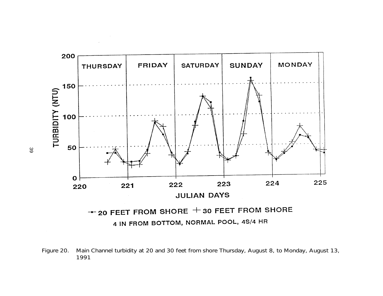

Figure 20. Main Channel turbidity at 20 and 30 feet from shore Thursday, August 8, to Monday, August 13,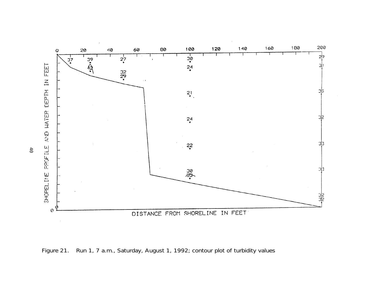

Figure 21. Run 1, 7 a.m., Saturday, August 1, 1992; contour plot of turbidity values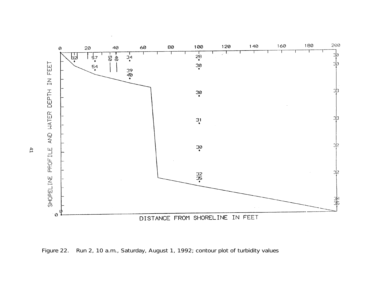

Figure 22. Run 2, 10 a.m., Saturday, August 1, 1992; contour plot of turbidity values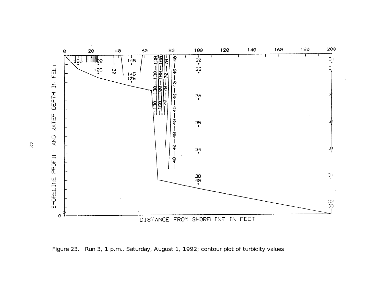

Figure 23. Run 3, 1 p.m., Saturday, August 1, 1992; contour plot of turbidity values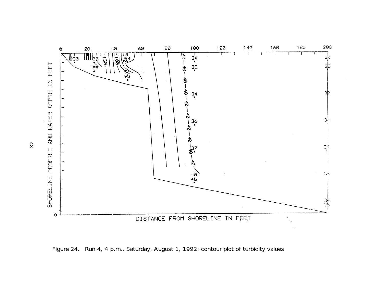

Figure 24. Run 4, 4 p.m., Saturday, August 1, 1992; contour plot of turbidity values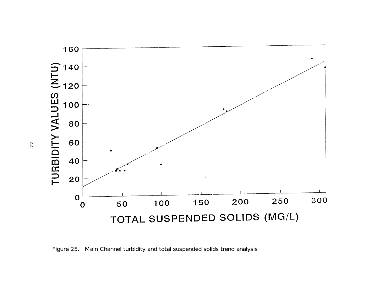

Figure 25. Main Channel turbidity and total suspended solids trend analysis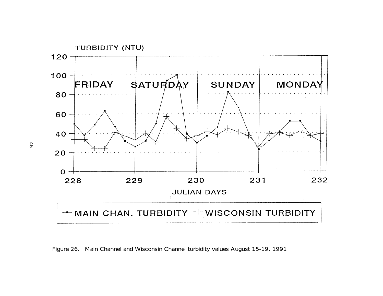

Figure 26. Main Channel and Wisconsin Channel turbidity values August 15-19, 1991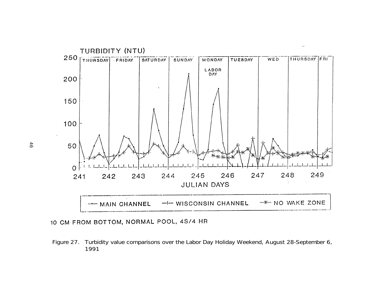

10 CM FROM BOTTOM, NORMAL POOL, 4S/4 HR

Figure 27. Turbidity value comparisons over the Labor Day Holiday Weekend, August 28-September 6, 1991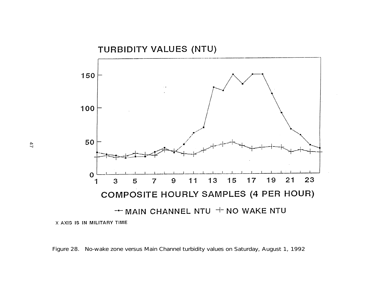

Figure 28. No-wake zone versus Main Channel turbidity values on Saturday, August 1, 1992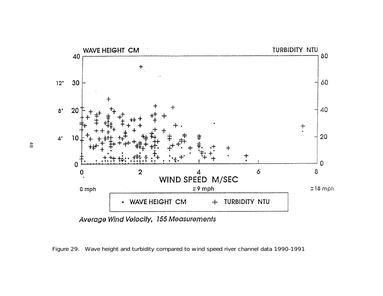

Average Wind Velocity, 155 Measurements

Figure 29. Wave height and turbidity compared to wind speed river channel data 1990-1991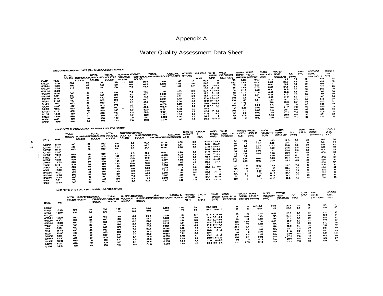### Appendix A

### Water Quality Assessment Data Sheet

|         |            | WISCONSIN CHANNEL DATA (ALL IN MG/L UNLESS NOTED) |                    |              |            |                                 |                                          |              |              |       |                                                |                                  |     |         |                             |                                              | <b>WATER</b> | <b>WAVE</b>                            | <b>FLOW</b>     | <b>WATER</b>             |                         | <b>TURB</b> | <b>SPECIFIC</b>    |                           | SECCHI |
|---------|------------|---------------------------------------------------|--------------------|--------------|------------|---------------------------------|------------------------------------------|--------------|--------------|-------|------------------------------------------------|----------------------------------|-----|---------|-----------------------------|----------------------------------------------|--------------|----------------------------------------|-----------------|--------------------------|-------------------------|-------------|--------------------|---------------------------|--------|
|         |            | <b>TOTAL</b>                                      | SUSPENDEDDIBSOLVED | TOTAL        |            | <b>TOTAL</b><br><b>VOLATILE</b> | <b>SUSPENDEDFIXED</b><br><b>VOLATILE</b> |              | <b>TOTAL</b> |       | <b>KJELDAHL</b><br>SUSPENDEDPHOSPHOROUNITROGEN | <b>NITRITE/</b><br><b>NTRATE</b> |     | CHLOR A | <b>WIND</b><br><b>SPEED</b> | <b>WIND</b><br><b>DIRECTION</b><br>(DEGREES) | овтн         | <b>HEIGHT</b><br><b>METERS(METERS)</b> | VELCCITY<br>M/S | <b>TEMP</b><br>(CELCIUS) | <b>DO</b><br><b>CPM</b> | (UTM)       | COND<br>(umhos/am) | <b>DISK</b><br>$($ am $)$ |        |
|         |            | <b>SOLDS</b>                                      | <b>SOLDS</b>       | <b>BOLDS</b> |            | <b>SOLDS</b>                    | <b>SOLIDS</b>                            | <b>SOLDS</b> |              |       |                                                |                                  |     | (ug/L)  | (M/S)                       | <b>NA</b>                                    | 1.73         | 0.00                                   | 0.19            | 19.2                     | 7.9                     |             | 16                 | 433                       | 50     |
| DATE    | <b>TME</b> |                                                   |                    |              | 290        | 110                             | 5.2                                      |              | 25.8         | 0.100 | 1.00                                           | 4.1                              |     | 30.4    |                             | 352                                          | 2.55         | 0.02                                   | 0.36            | 20.3                     | 7.5                     |             | 26                 | 499                       | 48     |
| 5/22/91 | 13:00      | 330                                               |                    | 31           | 340        | 130                             |                                          | 6.8          | 40.2         | 0.100 | 1.56                                           | 5.9                              |     | 24.0    |                             | 78                                           | 1.8          | 0.02                                   | 0.36            | 21.9                     | 6.9                     |             | 29                 | 494                       | 41     |
| 5/27/91 | 10:00      | 400                                               |                    | 47           | 340        | 130                             | 7.6                                      |              | 46.4         | 0.183 | 1.81                                           | 5.7                              |     | 22.4    | $0 - 3.2$                   |                                              | 1.85         | 0.00                                   | 0.33            | 24.5                     | 5.3                     |             | 48                 | 523                       | 25     |
| 5/27/91 | 15:55      | 410                                               |                    | 56           |            |                                 |                                          |              |              |       |                                                |                                  |     | 16.8    | $5 - 1.3$                   | œ                                            | 2.15         | 0.02                                   | 0.40            | 24.9                     | 5.8                     |             | 36                 | 565                       | 39     |
| 6/12/91 | 11:20      |                                                   |                    |              | 340        | 180                             |                                          | 7.0          | 42.0         | 0.251 | 1.63                                           | 5.0                              |     |         | $20.8$ 1.2-3.4              | 64                                           | 1.71         | 0.04                                   | 0.42            | 22.2                     | 6.5                     |             | 26                 | 567                       | 36     |
| 6/20/91 | 11:00      | 500                                               |                    | 49           |            | 180                             |                                          | 8.0          | 50.0         | 0.241 | 1.99                                           | 5.3                              |     | 12.0    | $0 - 1.8$                   | 62                                           |              | 0.01<br>1.8                            | 0.28            | 23.2                     | 6.0                     |             | 35                 | <b>NA</b>                 | 40     |
| 6/23/91 | 8:57       | 520                                               |                    | 58           | 340<br>440 | 180                             |                                          | 7.2          | 40.8         | 0.198 | 1.81                                           | 5.3                              |     | 18.8    | $3 - 1.4$                   | 53                                           |              | 0.03                                   | 0.40            | 24.9                     | 6.3                     |             | 37                 | 565                       | 36     |
| 6/23/91 | 15.50      | 500                                               |                    | 48           |            | 180                             |                                          | 7.4          | 49.6         | 0.231 | 1.70                                           |                                  | 4.0 |         | $22.4$ 1.0 - 1.7            | 240                                          | 2.1          | 0.01                                   | 1.53            | 24.1                     | 6.3                     |             | 36                 | 515                       | 36     |
| 7/3/91  | 11:30      | 480                                               |                    | 57           | 360        |                                 |                                          | 7.8          | 48.2         | 0.241 | 1.64                                           |                                  | 3.6 |         | $19.2$ $2.1 - 3.4$          | 256                                          | 1.68         |                                        | <b>NA</b>       | 25.0                     | 6.7                     |             | 33                 | 512                       | 31     |
| 7/4/91  | 9:15       | 400                                               |                    | 56           | 360        | 170                             |                                          | 9.0          | 43.0         | 0.200 | 1.00                                           |                                  | 3.7 | 20.8    | $-2.4$                      | NA                                           | 1.73         | 0.01                                   | <b>NA</b>       | 22.0                     |                         | 7.6         | 32                 | 586                       | 33     |
| 7/4/91  | 15:45      | 480                                               |                    | 52           | 350        | 170                             |                                          |              | 33.2         | 0.206 | 1.33                                           |                                  | 2.9 |         | $31.2$ 1.1 $-1.7$           | 248                                          | 1.00         | 0.00                                   |                 | 21.7                     |                         | 7.2         | $\infty$           | 575                       | 29     |
| 8/9/91  | 12:50      | 480                                               |                    | 45           | 410        | 150                             |                                          | 8.8          | 32.0         | 0.221 | 1.40                                           |                                  | 2.9 | 35.2    |                             | NA<br>٥                                      | 2.13         | 0.00                                   | <b>NA</b>       | 23.1                     |                         | 8.6         | 32                 | 580                       | 30     |
| 8/10/91 | 9:15       | 480                                               |                    | 40           | 300        | 140                             |                                          | 8.0          |              | 0.231 | 1.48                                           |                                  | 2.9 | 42.4    | .7–1.0                      | 206                                          |              | 0.00<br>2.1                            | <b>NA</b>       |                          |                         | 7.4         | 39                 | 598                       | 29     |
| 8/10/91 | 14:05      | 450                                               |                    | 47           | 390        | 130                             |                                          | 8.0          | 39.0         | 0.187 | 1.52                                           |                                  | 2.0 | 41.6    | $0 - 5$                     |                                              | 58           | 0.00<br>2.2                            | 0.15            | 27.1                     |                         |             | 35                 | 571                       | 34     |
| 8/29/9  | 14:35      | 490                                               |                    | 41           | 410        | 100                             |                                          | 8.2          | 32.8         | 0.232 | 1.49                                           |                                  | 1.5 | 39.2    |                             | NA<br>$\circ$                                | 1.95         | 0.04                                   | 0.18            | 23.6                     |                         | 6.3         | 33                 | 571                       | 28     |
| 9/2/91  | 8:46       | 480                                               |                    | 38           | 400        | 150                             |                                          | 7.8          | 30.2         |       | 1.33                                           |                                  | 1.5 | 39.5    | $0 - 1.0$                   |                                              | 52           | 0.00                                   | 0.09            | 25.0                     |                         | 7.1         |                    |                           |        |
| 0/2/21  | 14:48      | 490                                               |                    | 38           | 410        | 150                             |                                          | 7.8          | 30.2         | 0.239 |                                                |                                  |     |         |                             |                                              |              |                                        |                 |                          |                         |             |                    |                           |        |

|         |            | MINNESOTA CHANNEL DATA (ALL IN MG/L UNLESS NOTED) |                                             |     |              |                                                          |                                       |                            |                 |                                          |                 | <b>WIND</b>         | <b>WIND</b>            | <b>WATER</b>          | <b>WAVE</b>            | FLOW              | <b>WATER</b>             |            | <b>TURB</b>      | <b>SPEC</b>        | <b>SECCHI</b>      |           |
|---------|------------|---------------------------------------------------|---------------------------------------------|-----|--------------|----------------------------------------------------------|---------------------------------------|----------------------------|-----------------|------------------------------------------|-----------------|---------------------|------------------------|-----------------------|------------------------|-------------------|--------------------------|------------|------------------|--------------------|--------------------|-----------|
|         |            | <b>TOTAL</b><br><b>SOLDS</b>                      | <b>TOTAL</b><br>SUSPENDEDDISSOLVED VOLATILE |     | <b>TOTAL</b> | <b>SUSPENDEDFIXED</b><br><b>VOLATLE</b><br><b>SOLIDS</b> | <b>BUSPENDEDTOTAL</b><br><b>SOLDS</b> | <b>PHOSPHOROU:NITROGEN</b> | <b>KJELDAHL</b> | <b>NTRITE/</b><br><b>NITRATE</b><br>AS N | CHLOR<br>بالون) | SPEED<br>(M/B)      | DIRECTION<br>(DEGREES) | <b>DEPTH</b><br>(M/S) | <b>HEIGHT</b><br>(M/S) | VELOCITY<br>(M/S) | <b>TEMP</b><br>(CELCIUS) | œ<br>(PPM) | (NTU)            | COND<br>(umhos/am) | DISK<br>$($ am $)$ |           |
| DATE    | <b>TME</b> | <b>SOLDS</b>                                      | <b>SOLIDS</b>                               |     | <b>SOLDS</b> |                                                          |                                       |                            |                 |                                          |                 |                     | 162                    | 1.92                  |                        | 1.60<br>0.02      | 19.3                     | 8.0        | 72               |                    | 505                | 58        |
|         |            |                                                   |                                             |     | 130          | 5.6                                                      | 30.4                                  | 0.154                      | 1.56            | 5.3                                      |                 | $32.0$ 1.7 $-2.2$   |                        |                       |                        | 0.35<br>0.02      | 20.1                     | 7.2        | 30               |                    | 534                | 50        |
| 5/22/91 | 13:35      | 300                                               | 38                                          | 340 | 140          | $-0.4$                                                   | 39.6                                  | 0.199                      | 1.81            | 6.4                                      |                 | CALM<br>24.0        |                        | 45<br>57              | 1.6                    | 0.33<br>0.04      | 23.0                     |            | 30<br>6.6        |                    | 548                | 42        |
| 5/27/91 | 8:12       | 440                                               | 46                                          | 370 | 130          | 7.6                                                      | 44.4                                  | 0.211                      | 1.75            | 63                                       |                 | $27.2$ 1.2-1.6      |                        |                       |                        | 0.22<br>0.01      | 24.5                     |            | <b>NA</b><br>5.5 |                    | 550                | 28        |
| 5/27/91 | 16:47      | 430                                               | 32                                          | 350 |              |                                                          |                                       |                            |                 |                                          |                 | $14.4$ $1.9 - 2.9$  |                        | 1.95<br>œ             |                        | 0.31              | 25.0                     |            | 35<br>5.8        |                    | 605                | <b>NA</b> |
| 6/12/91 | 12:00      |                                                   |                                             |     |              |                                                          | 42.0                                  | 0.267                      | 1.93            | 5.6                                      |                 | .9–1.6<br>21.6      |                        | 54                    | 1.9                    | 0.00<br>0.13      | 22.0                     | 6.1        | 42               |                    | 606                | 30        |
| 6/20/91 | 12:15      | 510                                               | 49                                          | 380 | 170          | 7.0                                                      | 64.0                                  | 0.310                      | 1.76            | 5.5                                      |                 | $1.7 - 4.4$<br>12.8 |                        | 1.06<br>72            |                        | 0.02              | 23.0                     | 6.1        | 41               |                    |                    | 30        |
| 6/23/91 | 8:15       | 500                                               | 75                                          | 360 | 180          | 11.0                                                     | 57.0                                  | 0.27                       | 1.98            | 5.6                                      |                 | 12.8<br>.4-1.5      |                        | 46                    | 1.8                    | 1.10              | 25.1                     |            | 31<br>6.3        |                    | 565                | 37        |
| 6/23/91 | 15:15      | 520                                               | 67                                          | 360 | 170          | 10.0                                                     |                                       | 0.307                      | 1.68            | 4.6                                      |                 | $0 - 10$<br>23.2    | 270                    | 1.75                  |                        | 0.25<br>0.01      | 24.1                     |            | 35<br>6.3        |                    | 566                | 36        |
|         | 12:50      | 520                                               | 58                                          | 390 | 190          | 7.8                                                      | 50.2                                  | 0.255                      | 1.67            | 4.3                                      |                 | 20.0<br>$0 - 4$     | 298                    | 1,75                  |                        | 0.28<br>0.00      |                          |            |                  | 42                 | 556                | <b>NA</b> |
| 7/3/91  | 8:15       | 520                                               | $\infty$                                    | 390 | 180          | 10.0                                                     | 50.0                                  | 0.459                      | 2.63            | 4.2                                      |                 | 22.4                |                        |                       |                        |                   |                          |            | 33               |                    | 590                | 36        |
| 7/4/91  | 16:00      | 520                                               | œ                                           | 380 | 190          | 10.0                                                     | 58.0                                  |                            | 1.19            | 3.0                                      |                 | $28.8$ $2.2 - 2.8$  | 206                    |                       | 1.7                    | 0.00              | 22.0<br>NA               |            | 7.3              |                    | 570                | 39        |
| 7/4/91  |            | 400                                               | 44                                          | 390 | 140          | 8.0                                                      | 36.0                                  | 0.243                      |                 |                                          | 3.2             | 29.6                |                        | <b>NA</b>             | 1.9                    | 0.00              | 22.0<br><b>NA</b>        |            | 31<br>7.1        |                    | 575                | 38        |
| 8/9/91  | 13:50      | 470                                               | 43                                          | 390 | 140          | 6.0                                                      | 35.0                                  | 0.218                      | 1.43            |                                          | 3.2             | 33.1<br>$A - 7$     |                        | 300                   | 2                      | 0.00              | 23.1<br><b>NA</b>        |            | 7.4              | 38                 | 602                | 25        |
| 8/10/91 | 8:00       |                                                   | 56                                          | 390 | 150          | 9.6                                                      | 48.4                                  | 0.207                      | 1.46            |                                          |                 | 37.6                |                        | <b>NA</b>             | 2.1                    | 0,00              | 27.4<br>0,13             |            | 7.2              | 35                 | 580                | 41        |
| 8/10/91 | 14:30      | 500                                               | 40                                          | 390 | 180          | 7.6                                                      | 32.2                                  | 0.205                      | 1.51            |                                          | 2.1             | 34.4<br>$O - 9$     |                        | 62                    |                        | 0,14<br>0.01      | 24.1                     |            | 6.5              | 25                 |                    | 25        |
| 8/29/91 | 13:55      | 490                                               | 25                                          | 400 | 150          | 5.8                                                      | 19.2                                  | 0.286                      | 1.47            |                                          | 1.6             | $-1.3$              |                        | 206                   | 2                      | 0.02              | 28.5<br>0.10             |            | 7.3              | 39                 | 581                |           |
| 9/2/91  | 7:51       | 400                                               |                                             | 400 | 150          | 9.4                                                      | 42.6                                  | 0.303                      | 1.69            |                                          | 1.6             | 38.4                |                        |                       |                        |                   |                          |            |                  |                    |                    |           |
| 9/2/91  | 13:55      | 500                                               | 52                                          |     |              |                                                          |                                       |                            |                 |                                          |                 |                     |                        |                       |                        |                   |                          |            |                  |                    |                    |           |

|                               |                        | LAKE PEPIN SITE 3 DATA (ALL IN MG/LUNLESS NOTED) |                                 |                                             |                                 |                                      |                                             |                         |                      |                                    |                 |                                                          |                                              |                                          |                           |                                 |                                              |                            | <b>TURB</b>       | SPEC               | <b>SECCHI</b>                 |                |
|-------------------------------|------------------------|--------------------------------------------------|---------------------------------|---------------------------------------------|---------------------------------|--------------------------------------|---------------------------------------------|-------------------------|----------------------|------------------------------------|-----------------|----------------------------------------------------------|----------------------------------------------|------------------------------------------|---------------------------|---------------------------------|----------------------------------------------|----------------------------|-------------------|--------------------|-------------------------------|----------------|
| DATE                          | <b>TME</b>             | <b>TOTAL</b><br><b>SOLIDS</b><br>SOLDS           | SUSPENDEDTOTAL<br><b>SOLIDS</b> | <b>TOTAL</b><br>DISSOLVED VOLATILE<br>SOLDS | <b>VOLATILE</b><br><b>SOLDS</b> | <b>SUSPENDEDFDED</b><br><b>SOLDS</b> | <b>TOTAL</b><br>SUSPENDEDPHOSPHOROUNITROGEN | <b>KJELDAHL</b>         |                      | NITRITE/<br><b>NITRATE</b><br>AS N | CHLOR<br>ശ്രദ്ധ | <b>WIND</b><br><b>SPEED</b><br>(M/S)                     | <b>WIND</b><br><b>DIRECTION</b><br>(DEGREES) | <b>WATER</b><br>DEPTH<br>(METERS(meters) | WAVE<br>HEIGHT            | <b>FLOW</b><br>VELOCIT<br>(M/S) | <b>WATER</b><br><b>TEMP</b><br>(CELCIUS)     | po<br>(PPM)                | (NTU)             | COND<br>(umors/am) | <b>DISC</b><br>$(\alpha \pi)$ |                |
| 5/22/91<br>5/27/91            | 10:40                  | 430                                              | 35                              | 300                                         | 130                             | 5.2                                  | 29.8<br>49.6                                | 0.153<br>0.183          | 1.82<br>1.76         | 6.4<br>6.5                         |                 | 22.4 Hght<br>$27.20.28 - 0.3$                            | 51<br>150                                    |                                          | $0.2 - 0.3$<br>0.04       | 0.33<br><b>NA</b>               | 20.7<br>23.8                                 | 7.6<br>6,8                 | 25                | 22                 | 535<br>516                    | 70<br>60       |
| 5/27/91<br>6/12/91            | 15:18                  | 430                                              | 58                              | 370<br>450                                  | 130<br>100                      | B.4<br>6.6                           | 32.4                                        | 0.234                   | 1.04                 | 5.4                                |                 | $22.4$ 3.0-3.4                                           | 95                                           | 1.5<br>$\infty$<br>2.00                  | 0.20<br>0.43              | 0.52                            | 22.2<br><b>NA</b>                            | 5.7<br>25.0<br>6.2         |                   | $30^{\circ}$<br>24 | 610<br>596                    | 40<br>34       |
| 6/20/91<br>6/23/91            | 10:00<br>9:40<br>16:25 | 490<br>480<br>490                                | 30<br>28<br>28                  | 400<br>350                                  | 170<br>170                      | 5.4<br>6.0                           | 22.6<br>22.0                                | 0.202<br>0.217<br>0.217 | 1.76<br>1.94<br>1.84 | 5.5<br>5,5<br>4.6                  |                 | $14.4.3.6 - 4.4$<br>$16.0$ $3.0 - 3.6$<br>$28.8$ 3.2-5.4 | 275                                          | 1.5<br>70<br>1.97                        | 0.12<br>0.04              | 0.05                            | <b>NA</b>                                    | 0.8<br>23.B<br>25.0<br>6.7 |                   | 26<br>27<br>26     | 556<br>573<br>570             | 41<br>37<br>38 |
| 8/23/91<br>7/3/91<br>7/4/91   | 12:25<br>0:45          | 500<br>490                                       | 32<br>34                        | 390<br>390                                  | 190<br>190                      | 5.4<br>5.4<br>7.4                    | 20.6<br>26.6<br>30.6                        | 0.226<br>0.226          | 1.79<br>1.13         | 4.3<br>4.2                         |                 | $21.6$ 3.4 $-4.1$<br>$24.8$ $.28 - 48$                   | 263<br>304                                   | 1.77<br>1.7                              | 0.02<br>0.07<br><b>NA</b> |                                 | 24.1<br><b>NA</b><br>NA<br><b>NA</b>         | 6.3<br>6.7<br>25.0<br>22.7 | 7.5               | 27<br>27           | 557<br>587                    | 37<br>40       |
| 7/4/91<br>8/9/91              | 15:15<br>13:30         | 490<br>420<br>400                                | 38<br>31<br>47                  | 300<br>350<br>300                           | 180<br>130<br>140               | 64<br>8.8                            | 24.6<br>38.2                                | 0.207<br>0.283          | 1.32<br>0.92         | 2.9<br>3.0<br>3.0                  |                 | $A - B$<br>28.6<br>30.4<br>45.2<br>.4-.6                 | 302<br>353                                   | 1.8<br>NA<br>1.9                         | 0.00<br>NA                |                                 | <b>NA</b><br><b>NA</b>                       | 21.8<br>24.0               | 6.9<br>9.2        | 34<br>26           | 540<br>544<br>605             | 29<br>NA<br>NA |
| 8/10/91<br>8/10/91<br>8/29/91 | 8:50<br>13:30<br>15:05 | 450<br>650                                       | 83<br>58                        | 400<br>400                                  | 140<br>170                      | 8.4<br>9.8                           | 24.6<br>48.2<br>36.6                        | 0.256<br>0.256<br>0.285 | 1.12<br>1.00<br>1.34 | 2.1<br>1,5                         |                 | $36.31.4 - 3.2$<br>$37.4$ 1.3-2.0                        | 158                                          | 2.1<br>98<br>-2                          | 0.06<br>0.12              |                                 | .27.2<br><b>NA</b><br><b>NA</b><br><b>NA</b> | 23.9<br>25.2               | 7.3<br>6.3<br>7.5 | 44<br>45<br>56     | 582<br>575                    | 27<br>30       |
| 9/2/91<br>9/2/91              | 3:21<br>14.24          | 470<br>470                                       | 46<br>43                        | 420<br>400                                  | 180<br>150                      | 9.4<br>9.0                           | 34.0                                        | 0.202                   | 1.63                 | 1.5                                |                 | $30.4$ $2.0 - 2.5$                                       |                                              | 2.05<br>110                              | 0.11                      |                                 |                                              |                            |                   |                    |                               |                |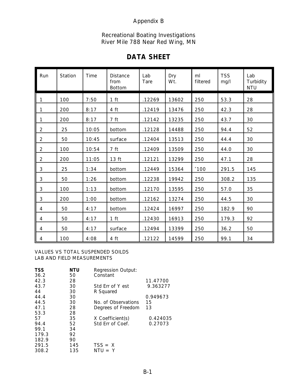### Appendix B

#### Recreational Boating Investigations River Mile 788 Near Red Wing, MN

### **DATA SHEET**

| I<br>Run       | Station | Time  | <b>Distance</b><br>from<br><b>Bottom</b> | Lab<br>Tare | Dry<br>Wt. | ml<br>filtered | <b>TSS</b><br>mg/l | Lab<br>Turbidity<br><b>NTU</b> |
|----------------|---------|-------|------------------------------------------|-------------|------------|----------------|--------------------|--------------------------------|
| 1              | 100     | 7:50  | 1 <sub>ft</sub>                          | .12269      | 13602      | 250            | 53.3               | 28                             |
| 1              | 200     | 8:17  | 4 ft                                     | .12419      | 13476      | 250            | 42.3               | 28                             |
| 1              | 200     | 8:17  | 7 ft                                     | .12142      | 13235      | 250            | 43.7               | 30                             |
| $\overline{2}$ | 25      | 10:05 | bottom                                   | .12128      | 14488      | 250            | 94.4               | 52                             |
| $\overline{2}$ | 50      | 10:45 | surface                                  | .12404      | 13513      | 250            | 44.4               | 30                             |
| $\overline{2}$ | 100     | 10:54 | 7 ft                                     | .12409      | 13509      | 250            | 44.0               | 30                             |
| $\overline{2}$ | 200     | 11:05 | 13 ft                                    | .12121      | 13299      | 250            | 47.1               | 28                             |
| 3              | 25      | 1:34  | bottom                                   | .12449      | 15364      | $^*100$        | 291.5              | 145                            |
| 3              | 50      | 1:26  | bottom                                   | .12238      | 19942      | 250            | 308.2              | 135                            |
| 3              | 100     | 1:13  | bottom                                   | .12170      | 13595      | 250            | 57.0               | 35                             |
| 3              | 200     | 1:00  | bottom                                   | .12162      | 13274      | 250            | 44.5               | 30                             |
| 4              | 50      | 4:17  | bottom                                   | .12424      | 16997      | 250            | 182.9              | 90                             |
| 4              | 50      | 4:17  | 1 <sub>ft</sub>                          | .12430      | 16913      | 250            | 179.3              | 92                             |
| 4              | 50      | 4:17  | surface                                  | .12494      | 13399      | 250            | 36.2               | 50                             |
| $\overline{4}$ | 100     | 4:08  | 4 ft                                     | .12122      | 14599      | 250            | 99.1               | 34                             |

#### VALUES VS TOTAL SUSPENDED SOILDS LAB AND FIELD MEASUREMENTS

| <b>TSS</b> | NTU | <b>Regression Output:</b> |          |
|------------|-----|---------------------------|----------|
| 36.2       | 50  | Constant                  |          |
| 42.3       | 28  |                           | 11.47700 |
| 43.7       | 30  | Std Err of Y est          | 9.363277 |
| 44         | 30  | R Squared                 |          |
| 44.4       | 30  |                           | 0.949673 |
| 44.5       | 30  | No. of Observations       | 15       |
| 47.1       | 28  | Degrees of Freedom        | 13       |
| 53.3       | 28  |                           |          |
| 57         | 35  | X Coefficient(s)          | 0.424035 |
| 94.4       | 52  | Std Err of Coef.          | 0.27073  |
| 99.1       | 34  |                           |          |
| 179.3      | 92  |                           |          |
| 182.9      | 90  |                           |          |
| 291.5      | 145 | $TSS = X$                 |          |
| 308.2      | 135 | $NTU = Y$                 |          |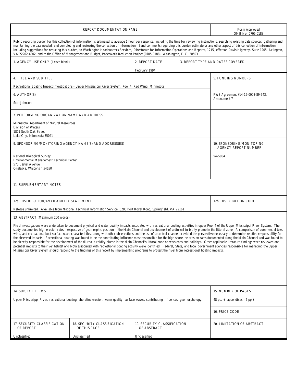|                                                                                                                                                                                                                                                                                                                                                                                                                                                                                                                                                                                                                                                                                                                                                                                                                                                                                                                                                                                                                                                                                                                                                                                                                                                                                                                                                                                                                  | Form Approved<br>OMB No. 0705-0188                                                                                    |                                            |  |                            |  |  |  |
|------------------------------------------------------------------------------------------------------------------------------------------------------------------------------------------------------------------------------------------------------------------------------------------------------------------------------------------------------------------------------------------------------------------------------------------------------------------------------------------------------------------------------------------------------------------------------------------------------------------------------------------------------------------------------------------------------------------------------------------------------------------------------------------------------------------------------------------------------------------------------------------------------------------------------------------------------------------------------------------------------------------------------------------------------------------------------------------------------------------------------------------------------------------------------------------------------------------------------------------------------------------------------------------------------------------------------------------------------------------------------------------------------------------|-----------------------------------------------------------------------------------------------------------------------|--------------------------------------------|--|----------------------------|--|--|--|
| Public reporting burden for this collection of information is estimated to average 1 hour per response, including the time for reviewing instructions, searching existing data sources, gathering and<br>maintaining the data needed, and completing and reviewing the collection of information. Send comments regarding this burden estimate or any other aspect of this collection of information,<br>including suggestions for reducing this burden, to Washington Headquarters Services, Directorate for Information Operations and Reports, 1215 Jefferson Davis Highway, Suite 1205, Arlington,<br>VA 22202-4302, and to the Office of Management and Budget, Paperwork Reduction Project (0705-0188), Washington, D.C. 20503                                                                                                                                                                                                                                                                                                                                                                                                                                                                                                                                                                                                                                                                             |                                                                                                                       |                                            |  |                            |  |  |  |
| 1. AGENCY USE ONLY (Leave blank)                                                                                                                                                                                                                                                                                                                                                                                                                                                                                                                                                                                                                                                                                                                                                                                                                                                                                                                                                                                                                                                                                                                                                                                                                                                                                                                                                                                 | 3. REPORT TYPE AND DATES COVERED                                                                                      |                                            |  |                            |  |  |  |
| 4. TITLE AND SUBTITLE                                                                                                                                                                                                                                                                                                                                                                                                                                                                                                                                                                                                                                                                                                                                                                                                                                                                                                                                                                                                                                                                                                                                                                                                                                                                                                                                                                                            | 5. FUNDING NUMBERS                                                                                                    |                                            |  |                            |  |  |  |
| Recreational Boating Impact Investigations - Upper Mississippi River System, Pool 4, Red Wing, Minnesota                                                                                                                                                                                                                                                                                                                                                                                                                                                                                                                                                                                                                                                                                                                                                                                                                                                                                                                                                                                                                                                                                                                                                                                                                                                                                                         |                                                                                                                       |                                            |  |                            |  |  |  |
| 6. AUTHOR(S)                                                                                                                                                                                                                                                                                                                                                                                                                                                                                                                                                                                                                                                                                                                                                                                                                                                                                                                                                                                                                                                                                                                                                                                                                                                                                                                                                                                                     | FWS Agreement #14-16-0003-89-943,                                                                                     |                                            |  |                            |  |  |  |
| <b>Scot Johnson</b>                                                                                                                                                                                                                                                                                                                                                                                                                                                                                                                                                                                                                                                                                                                                                                                                                                                                                                                                                                                                                                                                                                                                                                                                                                                                                                                                                                                              | Amendment 7                                                                                                           |                                            |  |                            |  |  |  |
| 7. PERFORMING ORGANIZATION NAME AND ADDRESS                                                                                                                                                                                                                                                                                                                                                                                                                                                                                                                                                                                                                                                                                                                                                                                                                                                                                                                                                                                                                                                                                                                                                                                                                                                                                                                                                                      |                                                                                                                       |                                            |  |                            |  |  |  |
| <b>Minnesota Department of Natural Resources</b><br><b>Division of Waters</b><br>1801 South Oak Street<br>Lake City, Minnesota 55041                                                                                                                                                                                                                                                                                                                                                                                                                                                                                                                                                                                                                                                                                                                                                                                                                                                                                                                                                                                                                                                                                                                                                                                                                                                                             |                                                                                                                       |                                            |  |                            |  |  |  |
| 9. SPONSORING/MONITORING AGENCY NAME(S) AND ADDRESS(ES)                                                                                                                                                                                                                                                                                                                                                                                                                                                                                                                                                                                                                                                                                                                                                                                                                                                                                                                                                                                                                                                                                                                                                                                                                                                                                                                                                          | 10. SPONSORING/MONITORING<br><b>AGENCY REPORT NUMBER</b>                                                              |                                            |  |                            |  |  |  |
| National Biological Survey<br><b>Environmental Management Technical Center</b><br>575 Lester Avenue<br>Onalaska, Wisconsin 54650                                                                                                                                                                                                                                                                                                                                                                                                                                                                                                                                                                                                                                                                                                                                                                                                                                                                                                                                                                                                                                                                                                                                                                                                                                                                                 | 94-S004                                                                                                               |                                            |  |                            |  |  |  |
| 11. SUPPLEMENTARY NOTES                                                                                                                                                                                                                                                                                                                                                                                                                                                                                                                                                                                                                                                                                                                                                                                                                                                                                                                                                                                                                                                                                                                                                                                                                                                                                                                                                                                          |                                                                                                                       |                                            |  |                            |  |  |  |
| 12a. DISTRIBUTION/AVAILABILITY STATEMENT                                                                                                                                                                                                                                                                                                                                                                                                                                                                                                                                                                                                                                                                                                                                                                                                                                                                                                                                                                                                                                                                                                                                                                                                                                                                                                                                                                         | 12b. DISTRIBUTION CODE                                                                                                |                                            |  |                            |  |  |  |
|                                                                                                                                                                                                                                                                                                                                                                                                                                                                                                                                                                                                                                                                                                                                                                                                                                                                                                                                                                                                                                                                                                                                                                                                                                                                                                                                                                                                                  | Release unlimited. Available from National Technical Information Service, 5285 Port Royal Road, Springfield, VA 22161 |                                            |  |                            |  |  |  |
| 13. ABSTRACT (Maximum 200 words)<br>Field investigations were undertaken to document physical and water quality impacts associated with recreational boating activities in upper Pool 4 of the Upper Mississippi River System. The<br>study documented high erosion rates irrespective of geomorphic position in the Main Channel and development of a diurnal turbidity plume in the littoral zone. A comparison of commercial tow,<br>wind, and recreational boat surface wave characteristics, along with other observations and the use of a control channel provided the perspective necessary to determine relative responsibility for<br>the observed impacts. Recreational boating was found to be the contributing influence most responsible for the high shoreline erosion rates documented along the Main Channel and was found to<br>be directly responsible for the development of the diurnal turbidity plume in the Main Channel's littoral zone on weekends and holidays. Other applicable literature findings were reviewed and<br>potential impacts to the river habitat and biota associated with recreational boating activity were identified. Federal, State, and local government agencies responsible for managing the Upper<br>Mississippi River System should respond to the findings of this report by implementing programs to protect the river from recreational boating impacts. |                                                                                                                       |                                            |  |                            |  |  |  |
|                                                                                                                                                                                                                                                                                                                                                                                                                                                                                                                                                                                                                                                                                                                                                                                                                                                                                                                                                                                                                                                                                                                                                                                                                                                                                                                                                                                                                  |                                                                                                                       |                                            |  |                            |  |  |  |
| 14. SUBJECT TERMS                                                                                                                                                                                                                                                                                                                                                                                                                                                                                                                                                                                                                                                                                                                                                                                                                                                                                                                                                                                                                                                                                                                                                                                                                                                                                                                                                                                                | 15. NUMBER OF PAGES                                                                                                   |                                            |  |                            |  |  |  |
| Upper Mississippi River, recreational boating, shoreline erosion, water quality, surface waves, contributing influences, geomorphology,                                                                                                                                                                                                                                                                                                                                                                                                                                                                                                                                                                                                                                                                                                                                                                                                                                                                                                                                                                                                                                                                                                                                                                                                                                                                          | 48 pp. $+$ appendixes (2 pp.)                                                                                         |                                            |  |                            |  |  |  |
|                                                                                                                                                                                                                                                                                                                                                                                                                                                                                                                                                                                                                                                                                                                                                                                                                                                                                                                                                                                                                                                                                                                                                                                                                                                                                                                                                                                                                  | 16. PRICE CODE                                                                                                        |                                            |  |                            |  |  |  |
| 17. SECURITY CLASSIFICATION<br>OF REPORT                                                                                                                                                                                                                                                                                                                                                                                                                                                                                                                                                                                                                                                                                                                                                                                                                                                                                                                                                                                                                                                                                                                                                                                                                                                                                                                                                                         | 18. SECURITY CLASSIFICATION<br>OF THIS PAGE                                                                           | 19. SECURITY CLASSIFICATION<br>OF ABSTRACT |  | 20. LIMITATION OF ABSTRACT |  |  |  |
| Unclassified                                                                                                                                                                                                                                                                                                                                                                                                                                                                                                                                                                                                                                                                                                                                                                                                                                                                                                                                                                                                                                                                                                                                                                                                                                                                                                                                                                                                     | Unclassified                                                                                                          | Unclassified                               |  |                            |  |  |  |